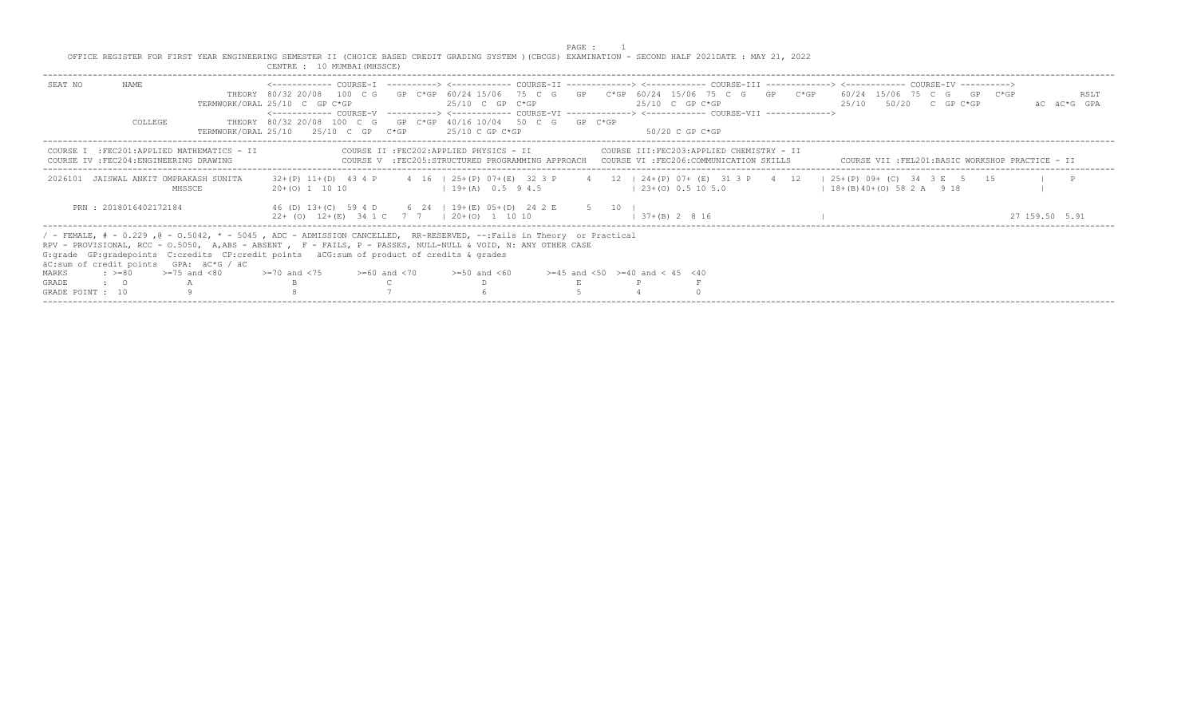PAGE : 1<br>OFFICE REGISTER FOR FIRST YEAR ENGINEERING SEMESTER II (CHOICE BASED CREDIT GRADING SYSTEM )(CBCGS) EXAMINATION - SECOND HALF 2021DATE : MAY 21, 2022<br>CENTRE : 10 MUMBAI(MHSSCE)

| SEAT NO          | NAME<br>COLLEGE                                                                                                                                                                                                                                                                                                                                                                 | TERMWORK/ORAL 25/10                              | THEORY 80/32 20/08 100 C G GP C*GP 60/24 15/06 75 C G GP C*GP 60/24 15/06 75 C G GP C*GP 60/24 15/06 75 C G GP C*GP<br>TERMWORK/ORAL 25/10 C GP C*GP<br><------------ COURSE-V ----------> <------------ COURSE-VI -------------> <------------ COURSE-VII ------------><br>THEORY 80/32 20/08 100 C G GP C*GP 40/16 10/04 50 C G GP C*GP | 25/10 C GP C*GP |  | 25/10 C GP C*GP<br>- 25/10 C GP C*GP     |  |  |  | 25/10 C GP C*GP<br>- 50/20 C GP C*GP     |  |  |  |                       | 25/10 50/20 C GP C*GP | RSLT<br>äC äC*G GPA                                                                                                                     |
|------------------|---------------------------------------------------------------------------------------------------------------------------------------------------------------------------------------------------------------------------------------------------------------------------------------------------------------------------------------------------------------------------------|--------------------------------------------------|-------------------------------------------------------------------------------------------------------------------------------------------------------------------------------------------------------------------------------------------------------------------------------------------------------------------------------------------|-----------------|--|------------------------------------------|--|--|--|------------------------------------------|--|--|--|-----------------------|-----------------------|-----------------------------------------------------------------------------------------------------------------------------------------|
|                  | COURSE IV : FEC204: ENGINEERING DRAWING                                                                                                                                                                                                                                                                                                                                         | COURSE I : FEC201: APPLIED MATHEMATICS - II      |                                                                                                                                                                                                                                                                                                                                           |                 |  | COURSE II : FEC202: APPLIED PHYSICS - II |  |  |  | COURSE III:FEC203:APPLIED CHEMISTRY - II |  |  |  |                       |                       | COURSE V :FEC205:STRUCTURED PROGRAMMING APPROACH COURSE VI :FEC206:COMMUNICATION SKILLS COURSE VII :FEL201:BASIC WORKSHOP PRACTICE - II |
|                  |                                                                                                                                                                                                                                                                                                                                                                                 | 2026101 JAISWAL ANKIT OMPRAKASH SUNITA<br>MHSSCE | 32+(P) 11+(D) 43 4 P 4 16   25+(P) 07+(E) 32 3 P 4 12   24+(P) 07+ (E) 31 3 P 4 12   25+(P) 09+ (C) 34 3 E 5 15<br>$20+(0)$ 1 10 10                                                                                                                                                                                                       |                 |  | $19+(A)$ 0.5 9 4.5                       |  |  |  | $(23 + (0) 0.5 10 5.0)$                  |  |  |  | $18+(B)40+(O)582A918$ |                       | $\blacksquare$                                                                                                                          |
|                  | PRN: 2018016402172184                                                                                                                                                                                                                                                                                                                                                           |                                                  | 46 (D) 13+(C) 59 4 D 6 24   19+(E) 05+(D) 24 2 E 5 10  <br>$22+$ (0) $12+(E)$ 34 1 C 7 7 $(20+(O)$ 1 10 10                                                                                                                                                                                                                                |                 |  |                                          |  |  |  | $1 \t37+(B) \t2 \t8 \t16$                |  |  |  |                       |                       | 27 159 50 5.91                                                                                                                          |
|                  | / - FEMALE, # - 0.229, @ - 0.5042, * - 5045, ADC - ADMISSION CANCELLED, RR-RESERVED, --:Fails in Theory or Practical<br>RPV - PROVISIONAL, RCC - 0.5050, A,ABS - ABSENT , F - FAILS, P - PASSES, NULL-NULL & VOID, N: ANY OTHER CASE<br>G: grade GP: gradepoints C: credits CP: credit points äCG: sum of product of credits & grades<br>äC:sum of credit points GPA: äC*G / äC |                                                  |                                                                                                                                                                                                                                                                                                                                           |                 |  |                                          |  |  |  |                                          |  |  |  |                       |                       |                                                                                                                                         |
| MARKS            | : $> = 80$ $> = 75$ and $< 80$                                                                                                                                                                                                                                                                                                                                                  |                                                  | $> = 70$ and $< 75$ $> = 60$ and $< 70$ $> = 50$ and $< 60$                                                                                                                                                                                                                                                                               |                 |  |                                          |  |  |  | $>=45$ and $<50$ $>=40$ and $< 45$ $<40$ |  |  |  |                       |                       |                                                                                                                                         |
| GRADE            | $\bullet$ : 0 A                                                                                                                                                                                                                                                                                                                                                                 |                                                  |                                                                                                                                                                                                                                                                                                                                           |                 |  |                                          |  |  |  |                                          |  |  |  |                       |                       |                                                                                                                                         |
| GRADE POINT : 10 |                                                                                                                                                                                                                                                                                                                                                                                 |                                                  |                                                                                                                                                                                                                                                                                                                                           |                 |  |                                          |  |  |  |                                          |  |  |  |                       |                       |                                                                                                                                         |
|                  |                                                                                                                                                                                                                                                                                                                                                                                 |                                                  |                                                                                                                                                                                                                                                                                                                                           |                 |  |                                          |  |  |  |                                          |  |  |  |                       |                       |                                                                                                                                         |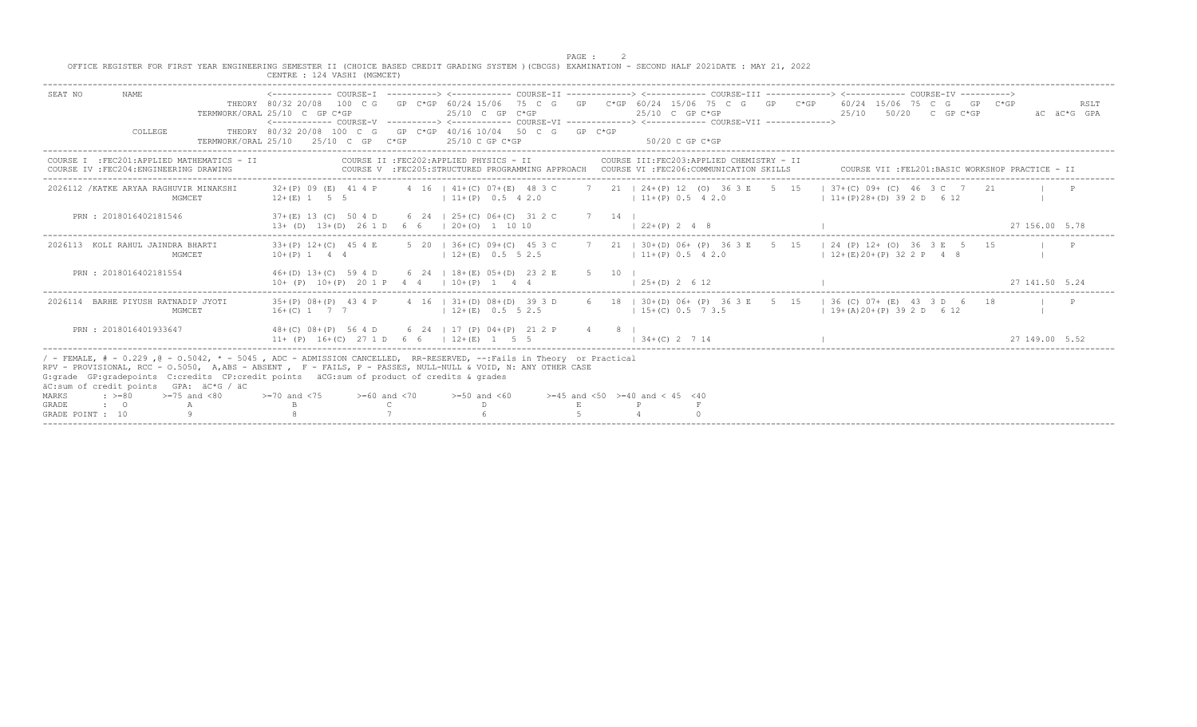PAGE : 2<br>OFFICE REGISTER FOR FIRST YEAR ENGINEERING SEMESTER II (CHOICE BASED CREDIT GRADING SYSTEM )(CBCGS) EXAMINATION - SECOND HALF 2021DATE : MAY 21, 2022

| SEAT NO<br><b>NAME</b><br>THEORY 80/32 20/08 100 C G GP C*GP 60/24 15/06 75 C G GP C*GP 60/24 15/06 75 C G GP C*GP 60/24 15/06 75 C G GP C*GP<br>TERMWORK/ORAL 25/10 C GP C*GP<br>$25/10$ C GP C*GP<br>25/10<br>50/20 C GP C*GP<br>$25/10$ C GP C*GP<br>äC äC*G GPA<br><------------ COURSE-V    ----------> <------------    COURSE-VI    -------------> <-------------    COURSE-VII    ------------><br>THEORY 80/32 20/08 100 C G GP C*GP 40/16 10/04 50 C G GP C*GP<br>COLLEGE<br>2.5/10 C GP<br>$50/20$ C GP C*GP<br>TERMWORK/ORAI, 25/10<br>$25/10$ C GP C*GP<br>$C*GP$<br>COURSE II : FEC202: APPLIED PHYSICS - II<br>COURSE III:FEC203:APPLIED CHEMISTRY - II<br>COURSE I : FEC201: APPLIED MATHEMATICS - II<br>COURSE V :FEC205:STRUCTURED PROGRAMMING APPROACH COURSE VI :FEC206:COMMUNICATION SKILLS<br>COURSE IV : FEC204: ENGINEERING DRAWING<br>COURSE VII : FEL201: BASIC WORKSHOP PRACTICE - II<br>2026112 / KATKE ARYAA RAGHUVIR MINAKSHI<br>4 16   41+(C) 07+(E) 48 3 C 7 21   24+(P) 12 (O) 36 3 E 5 15<br>$1\,37+(C)\,09+(C)\,46\,3C\,7\,21$<br>32+(P) 09 (E) 41 4 P<br>$12+(E)$ 1 5 5<br>$111+(P)$ 0.5 4 2.0<br>$11+ (P) 28+ (D) 39 2 D 6 12$<br>$111+(P)$ 0.5 4 2.0<br>MGMCET<br>PRN : 2018016402181546<br>37+(E) 13 (C) 50 4 D<br>6 24 $\pm$ 25+(C) 06+(C) 31 2 C<br>7 14 1<br>$13+ (D)$ $13+ (D)$ $261D$ 6 6 $120+ (O)$ 1 10 10<br>$1, 22+(P)$ 2 4 8<br>27 156.00 5.78<br>2026113 KOLI RAHUL JAINDRA BHARTI<br>$33+(P)$ 12+(C) 45 4 E<br>5 20 1 36+(C) 09+(C) 45 3 C<br>7 21   30 + (D) 06 + (P) 36 3 E 5 15   24 (P) 12 + (O) 36 3 E 5 15<br>$10+(P)$ 1 4 4<br>$12+(E)$ 0.5 5 2.5<br>$11+(P)$ 0.5 4 2.0<br>$12+(E)20+(P)322P48$<br>MGMCET<br>PRN: 2018016402181554<br>46+(D) 13+(C) 59 4 D 6 24   18+(E) 05+(D) 23 2 E 5 10  <br>$10+$ (P) $10+(P)$ 20 1 P 4 4 1 $10+(P)$ 1<br>27 141.50 5.24<br>$(25+(D) 2 6 12)$ |      |
|----------------------------------------------------------------------------------------------------------------------------------------------------------------------------------------------------------------------------------------------------------------------------------------------------------------------------------------------------------------------------------------------------------------------------------------------------------------------------------------------------------------------------------------------------------------------------------------------------------------------------------------------------------------------------------------------------------------------------------------------------------------------------------------------------------------------------------------------------------------------------------------------------------------------------------------------------------------------------------------------------------------------------------------------------------------------------------------------------------------------------------------------------------------------------------------------------------------------------------------------------------------------------------------------------------------------------------------------------------------------------------------------------------------------------------------------------------------------------------------------------------------------------------------------------------------------------------------------------------------------------------------------------------------------------------------------------------------------------------------------------------------------------------------------------------------------------------------------|------|
|                                                                                                                                                                                                                                                                                                                                                                                                                                                                                                                                                                                                                                                                                                                                                                                                                                                                                                                                                                                                                                                                                                                                                                                                                                                                                                                                                                                                                                                                                                                                                                                                                                                                                                                                                                                                                                              | RSLT |
|                                                                                                                                                                                                                                                                                                                                                                                                                                                                                                                                                                                                                                                                                                                                                                                                                                                                                                                                                                                                                                                                                                                                                                                                                                                                                                                                                                                                                                                                                                                                                                                                                                                                                                                                                                                                                                              |      |
|                                                                                                                                                                                                                                                                                                                                                                                                                                                                                                                                                                                                                                                                                                                                                                                                                                                                                                                                                                                                                                                                                                                                                                                                                                                                                                                                                                                                                                                                                                                                                                                                                                                                                                                                                                                                                                              |      |
|                                                                                                                                                                                                                                                                                                                                                                                                                                                                                                                                                                                                                                                                                                                                                                                                                                                                                                                                                                                                                                                                                                                                                                                                                                                                                                                                                                                                                                                                                                                                                                                                                                                                                                                                                                                                                                              |      |
|                                                                                                                                                                                                                                                                                                                                                                                                                                                                                                                                                                                                                                                                                                                                                                                                                                                                                                                                                                                                                                                                                                                                                                                                                                                                                                                                                                                                                                                                                                                                                                                                                                                                                                                                                                                                                                              |      |
|                                                                                                                                                                                                                                                                                                                                                                                                                                                                                                                                                                                                                                                                                                                                                                                                                                                                                                                                                                                                                                                                                                                                                                                                                                                                                                                                                                                                                                                                                                                                                                                                                                                                                                                                                                                                                                              |      |
|                                                                                                                                                                                                                                                                                                                                                                                                                                                                                                                                                                                                                                                                                                                                                                                                                                                                                                                                                                                                                                                                                                                                                                                                                                                                                                                                                                                                                                                                                                                                                                                                                                                                                                                                                                                                                                              |      |
| 2026114 BARHE PIYUSH RATNADIP JYOTI<br>$35+(P)$ $08+(P)$ 43 4 P<br>4 16   31+(D) 08+(D) 39 3 D<br>6 18   30 + (D) 06 + (P) 36 3 E 5 15<br>$136$ (C) 07+ (E) 43 3 D 6 18<br>$16+(C)$ 1 7 7<br>$12+(E)$ 0.5 5 2.5<br>$15+(C)$ 0.5 7 3.5<br>$1 \t19+(A) \t20+(P) \t39 \t2 D \t6 \t12$<br>MGMCET                                                                                                                                                                                                                                                                                                                                                                                                                                                                                                                                                                                                                                                                                                                                                                                                                                                                                                                                                                                                                                                                                                                                                                                                                                                                                                                                                                                                                                                                                                                                                 |      |
| 48+(C) 08+(P) 56 4 D 6 24   17 (P) 04+(P) 21 2 P 4 8  <br>PRN: 2018016401933647<br>$11+ (P)$ $16+(C)$ 27 1 D 6 6 $(12+(E)$ 1 5 5<br>$134+(C) 2714$<br>27 149.00 5.52                                                                                                                                                                                                                                                                                                                                                                                                                                                                                                                                                                                                                                                                                                                                                                                                                                                                                                                                                                                                                                                                                                                                                                                                                                                                                                                                                                                                                                                                                                                                                                                                                                                                         |      |
| / - FEMALE, # - 0.229, @ - 0.5042, * - 5045, ADC - ADMISSION CANCELLED, RR-RESERVED, --:Fails in Theory or Practical<br>RPV - PROVISIONAL, RCC - 0.5050, A,ABS - ABSENT , F - FAILS, P - PASSES, NULL-NULL & VOID, N: ANY OTHER CASE<br>G: grade GP: gradepoints C: credits CP: credit points aCG: sum of product of credits & grades<br>aC:sum of credit points GPA: aC*G / aC<br>$>=70$ and $<75$ $>=60$ and $<70$<br>$>=50$ and $<60$<br>$>=45$ and $<50$ $>=40$ and $< 45$ $<40$<br>$\cdot$ >=80<br>$>=75$ and $< 80$<br>MARKS<br>GRADE<br>$\cdot$ 0                                                                                                                                                                                                                                                                                                                                                                                                                                                                                                                                                                                                                                                                                                                                                                                                                                                                                                                                                                                                                                                                                                                                                                                                                                                                                     |      |
| GRADE POINT : 10                                                                                                                                                                                                                                                                                                                                                                                                                                                                                                                                                                                                                                                                                                                                                                                                                                                                                                                                                                                                                                                                                                                                                                                                                                                                                                                                                                                                                                                                                                                                                                                                                                                                                                                                                                                                                             |      |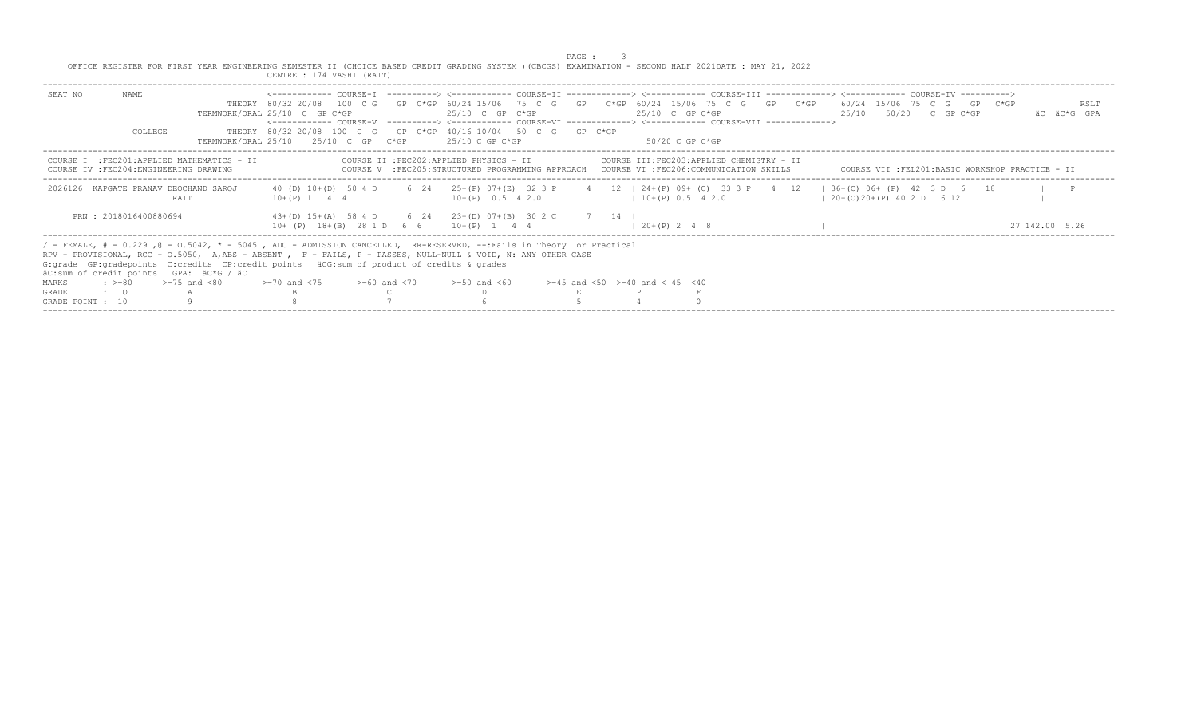|                  |                                                    |                                                                                                                                                                                                                                                                                                                                                                                 |                                                                                                      |  |                                                                                                               | PAGE : |                                                                                                                                                                                                                                                                |                              |  |  |                                                 |
|------------------|----------------------------------------------------|---------------------------------------------------------------------------------------------------------------------------------------------------------------------------------------------------------------------------------------------------------------------------------------------------------------------------------------------------------------------------------|------------------------------------------------------------------------------------------------------|--|---------------------------------------------------------------------------------------------------------------|--------|----------------------------------------------------------------------------------------------------------------------------------------------------------------------------------------------------------------------------------------------------------------|------------------------------|--|--|-------------------------------------------------|
|                  |                                                    | OFFICE REGISTER FOR FIRST YEAR ENGINEERING SEMESTER II (CHOICE BASED CREDIT GRADING SYSTEM ) (CBCGS) EXAMINATION - SECOND HALF 2021DATE : MAY 21, 2022                                                                                                                                                                                                                          | CENTRE : 174 VASHI (RAIT)                                                                            |  |                                                                                                               |        |                                                                                                                                                                                                                                                                |                              |  |  |                                                 |
| SEAT NO          | NAME                                               |                                                                                                                                                                                                                                                                                                                                                                                 | TERMWORK/ORAL 25/10 C GP C*GP                                                                        |  | $25/10$ C GP C*GP                                                                                             |        | THEORY 80/32 20/08 100 C G GP C*GP 60/24 15/06 75 C G GP C*GP 60/24 15/06 75 C G GP C*GP 60/24 15/06 75 C G GP C*GP<br>$25/10$ C GP C*GP<br><------------ COURSE-V -----------> <------------ COURSE-VI -------------> <------------ COURSE-VII -------------> | $25/10$ $50/20$ C GP C*GP    |  |  | RSLT<br>AC AC*G GPA                             |
|                  | <b>COLLEGE</b>                                     |                                                                                                                                                                                                                                                                                                                                                                                 | THEORY 80/32 20/08 100 C G GP C*GP 40/16 10/04 50 C G GP C*GP<br>TERMWORK/ORAL 25/10 25/10 C GP C*GP |  | 25/10 C GP C*GP                                                                                               |        | -50/20 C GP C*GP                                                                                                                                                                                                                                               |                              |  |  |                                                 |
|                  |                                                    | COURSE I : FEC201: APPLIED MATHEMATICS - II<br>COURSE IV : FEC204: ENGINEERING DRAWING                                                                                                                                                                                                                                                                                          |                                                                                                      |  | COURSE II : FEC202: APPLIED PHYSICS - II                                                                      |        | COURSE III:FEC203:APPLIED CHEMISTRY - II<br>COURSE V :FEC205:STRUCTURED PROGRAMMING APPROACH COURSE VI :FEC206:COMMUNICATION SKILLS                                                                                                                            |                              |  |  | COURSE VII :FEL201:BASIC WORKSHOP PRACTICE - II |
|                  |                                                    | 2026126 KAPGATE PRANAV DEOCHAND SAROJ<br>RAIT                                                                                                                                                                                                                                                                                                                                   |                                                                                                      |  | $10+(P)$ 1 4 4 $(10+(P)$ 0.5 4 2.0                                                                            |        | 40 (D) 10+(D) 50 4 D 6 24   25+(P) 07+(E) 32 3 P 4 12   24+(P) 09+ (C) 33 3 P 4 12   36+(C) 06+ (P) 42 3 D 6 18<br>$10+(P)$ 0.5 4 2.0                                                                                                                          | $(20+(0)20+(P) 40 2 D 6 12)$ |  |  | $\blacksquare$                                  |
|                  | PRN: 2018016400880694                              |                                                                                                                                                                                                                                                                                                                                                                                 |                                                                                                      |  | $43+(D) 15+(A) 58 4 D$ 6 24   23+ (D) 07+ (B) 30 2 C 7 14  <br>$10+$ (P) $18+(B)$ 28 1 D 6 6   10 + (P) 1 4 4 |        | $1, 20+(P)$ 2 4 8                                                                                                                                                                                                                                              |                              |  |  | 27 142.00 5.26                                  |
|                  |                                                    | / - FEMALE, # - 0.229, @ - 0.5042, * - 5045, ADC - ADMISSION CANCELLED, RR-RESERVED, --:Fails in Theory or Practical<br>RPV - PROVISIONAL, RCC - 0.5050, A,ABS - ABSENT , F - FAILS, P - PASSES, NULL-NULL & VOID, N: ANY OTHER CASE<br>G: grade GP: gradepoints C: credits CP: credit points äCG: sum of product of credits & grades<br>äC:sum of credit points GPA: äC*G / äC |                                                                                                      |  |                                                                                                               |        |                                                                                                                                                                                                                                                                |                              |  |  |                                                 |
| MARKS            | $\Rightarrow$ $>=$ 80 $\Rightarrow$ $=$ 75 and <80 |                                                                                                                                                                                                                                                                                                                                                                                 | $>=70$ and $<75$ $>=60$ and $<70$                                                                    |  | $>=50$ and $<60$                                                                                              |        | $>=45$ and $<50$ $>=40$ and $< 45$ $<40$                                                                                                                                                                                                                       |                              |  |  |                                                 |
| <b>GRADE</b>     | $\cdot$ 0                                          |                                                                                                                                                                                                                                                                                                                                                                                 |                                                                                                      |  |                                                                                                               |        |                                                                                                                                                                                                                                                                |                              |  |  |                                                 |
| GRADE POINT : 10 |                                                    |                                                                                                                                                                                                                                                                                                                                                                                 |                                                                                                      |  |                                                                                                               |        |                                                                                                                                                                                                                                                                |                              |  |  |                                                 |
|                  |                                                    |                                                                                                                                                                                                                                                                                                                                                                                 |                                                                                                      |  |                                                                                                               |        |                                                                                                                                                                                                                                                                |                              |  |  |                                                 |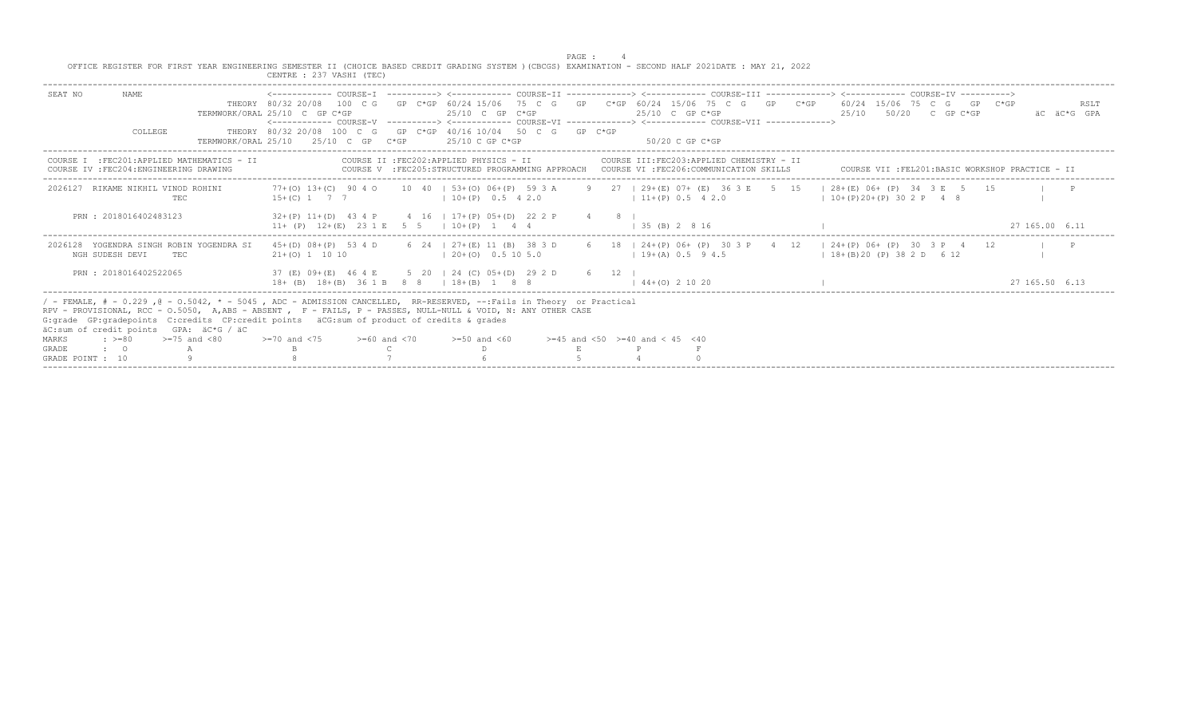PAGE : 4<br>OFFICE REGISTER FOR FIRST YEAR ENGINEERING SEMESTER II (CHOICE BASED CREDIT GRADING SYSTEM )(CBCGS) EXAMINATION - SECOND HALF 2021DATE : MAY 21, 2022<br>CENTRE : 237 VASHI (TEC)

|                                                                                                                                                                                                                                                                                                                                                                                                                                                                                    | CENTRE : 23/ VASHI (TEC                                                                                                                |                                                                                           |                                                                                                                                                                                                                                                                                    |                                                                            |
|------------------------------------------------------------------------------------------------------------------------------------------------------------------------------------------------------------------------------------------------------------------------------------------------------------------------------------------------------------------------------------------------------------------------------------------------------------------------------------|----------------------------------------------------------------------------------------------------------------------------------------|-------------------------------------------------------------------------------------------|------------------------------------------------------------------------------------------------------------------------------------------------------------------------------------------------------------------------------------------------------------------------------------|----------------------------------------------------------------------------|
| NAME.<br>SEAT NO<br>COLLEGE                                                                                                                                                                                                                                                                                                                                                                                                                                                        | TERMWORK/ORAL 25/10 C GP C*GP<br>THEORY 80/32 20/08 100 C G GP C*GP 40/16 10/04 50 C G GP C*GP<br>TERMWORK/ORAT, 25/10 25/10 C GP C*GP | 25/10 C GP C*GP<br>$25/10$ C GP C*GP                                                      | THEORY 80/32 20/08 100 C G GP C*GP 60/24 15/06 75 C G GP C*GP 60/24 15/06 75 C G GP C*GP 60/24 15/06 75 C G GP C*GP<br>$25/10$ C GP C*GP<br><------------ COURSE-V -----------> <------------ COURSE-VI -------------> <------------- COURSE-VII -------------><br>50/20 C GP C*GP | RSLT<br>25/10 50/20 C GP C*GP<br>äC äC*G GPA                               |
| :FEC201:APPLIED MATHEMATICS - II<br>COURSE IV : FEC204: ENGINEERING DRAWING                                                                                                                                                                                                                                                                                                                                                                                                        | COURSE II : FEC202: APPLIED PHYSICS - II                                                                                               |                                                                                           | COURSE III: FEC203: APPLIED CHEMISTRY - II<br>COURSE V :FEC205:STRUCTURED PROGRAMMING APPROACH COURSE VI :FEC206:COMMUNICATION SKILLS                                                                                                                                              | COURSE VII : FEL201: BASIC WORKSHOP PRACTICE - II                          |
| RIKAME NIKHIL VINOD ROHINI<br>2026127<br>TEC                                                                                                                                                                                                                                                                                                                                                                                                                                       | $77+(0)$ 1.3+(C) 90 4 0<br>$15+(C)$ 1 7 7                                                                                              | $10 \quad 40 \quad 153+ (0) \quad 06+ (P) \quad 59 \quad 3 \quad A$<br>$10+(P)$ 0.5 4 2.0 | 9 27 1 29 + (E) 07 + (E) 36 3 E 5 15<br>$11+(P)$ 0.5 4 2.0                                                                                                                                                                                                                         | $128+(E)$ 06+ (P) 34 3 E 5 15<br>$\mathbb{P}$<br>$1 10+(P)20+(P)302 P$ 4 8 |
| PRN: 2018016402483123                                                                                                                                                                                                                                                                                                                                                                                                                                                              | $32+(P)$ 11+(D) 43 4 P<br>$11+ (P)$ $12+(E)$ $23 1 E$ 5 5 $1 10+(P)$ 1                                                                 | 4 16   17+(P) 05+(D) 22 2 P                                                               | $1.35$ (B) 2 8 16                                                                                                                                                                                                                                                                  | 27 165,00 6.11                                                             |
| YOGENDRA SINGH ROBIN YOGENDRA SI<br>2026128<br>NGH SUDESH DEVI<br>TEC.                                                                                                                                                                                                                                                                                                                                                                                                             | $45+(D)$ $08+(P)$ 53 4 D<br>$21+(0)$ 1 10 10                                                                                           | 6 24   27+(E) 11 (B) 38 3 D<br>$120+ (0)$ 0.5 10 5.0                                      | 6 18   24+(P) 06+ (P) 30 3 P 4 12<br>$19+(A) 0.5 94.5$                                                                                                                                                                                                                             | $124+(P)06+(P)303P412$<br>$18+(B)20(P)382D 612$                            |
| PRN: 2018016402522065                                                                                                                                                                                                                                                                                                                                                                                                                                                              | 37 (E) 09+ (E) 46 4 E 5 20   24 (C) 05+ (D) 29 2 D 6 12<br>$18+$ (B) $18+(B)$ $361B$ $88$ $118+(B)$ $188$                              |                                                                                           | $1.44 + (0)$ 2 10 20                                                                                                                                                                                                                                                               | 27, 165, 50, 6, 13                                                         |
| / - FEMALE, # - 0.229, @ - 0.5042, * - 5045, ADC - ADMISSION CANCELLED, RR-RESERVED, --:Fails in Theory or Practical<br>RPV - PROVISIONAL, RCC - 0.5050, A,ABS - ABSENT , F - FAILS, P - PASSES, NULL-NULL & VOID, N: ANY OTHER CASE<br>G: grade GP: gradepoints C: credits CP: credit points äCG: sum of product of credits & grades<br>äC:sum of credit points GPA: äC*G / äC<br>$>=75$ and $< 80$<br>$\cdot$ $> = 80$<br><b>MARKS</b><br>GRADE<br>$\cdot$ 0<br>GRADE POINT : 10 | $>=70$ and $<75$<br>$>=60$ and $<70$                                                                                                   | $>=50$ and $<60$                                                                          | $> = 45$ and $< 50$ $> = 40$ and $< 45$ $< 40$                                                                                                                                                                                                                                     |                                                                            |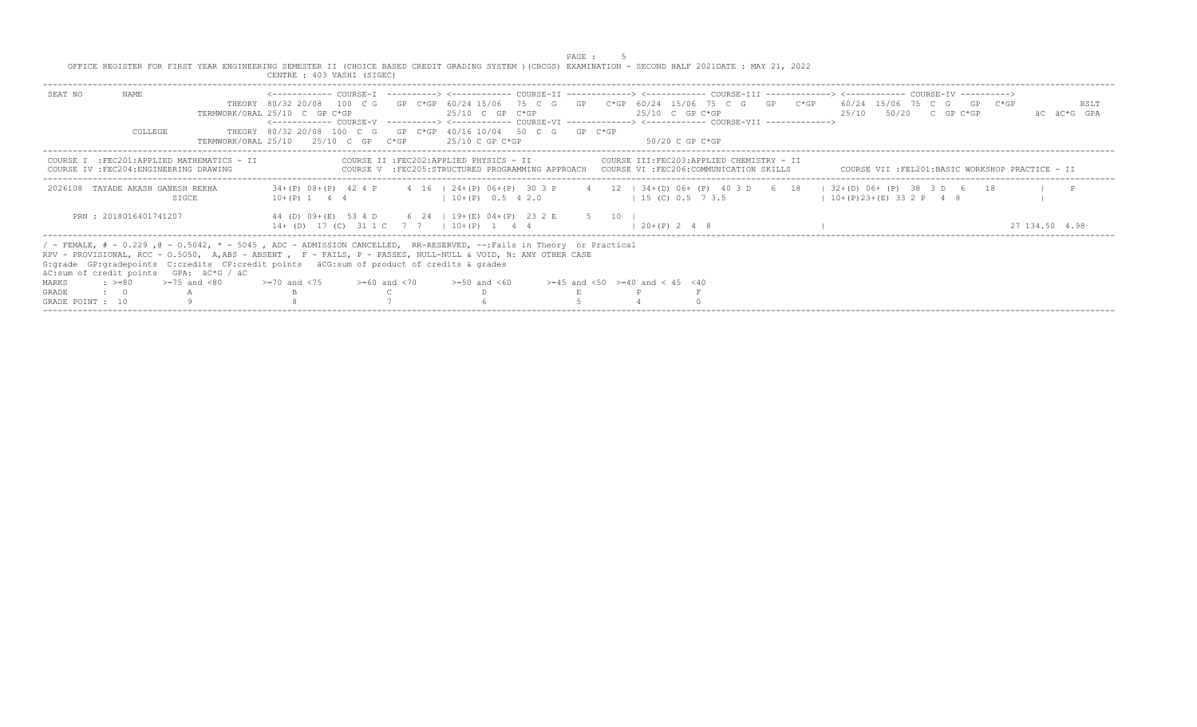|                  |                                   |                                                                                                                                                                                                                                                                                                                                                                                 |                                   |                                                                                                                                | PAGE. |                                                                                                                                         |  |                                                                                                                                                  |                |                     |
|------------------|-----------------------------------|---------------------------------------------------------------------------------------------------------------------------------------------------------------------------------------------------------------------------------------------------------------------------------------------------------------------------------------------------------------------------------|-----------------------------------|--------------------------------------------------------------------------------------------------------------------------------|-------|-----------------------------------------------------------------------------------------------------------------------------------------|--|--------------------------------------------------------------------------------------------------------------------------------------------------|----------------|---------------------|
|                  |                                   | OFFICE REGISTER FOR FIRST YEAR ENGINEERING SEMESTER II (CHOICE BASED CREDIT GRADING SYSTEM )(CBCGS) EXAMINATION - SECOND HALF 2021DATE : MAY 21, 2022                                                                                                                                                                                                                           | CENTRE : 403 VASHI (SIGEC)        |                                                                                                                                |       |                                                                                                                                         |  |                                                                                                                                                  |                |                     |
| SEAT NO          | NAME.                             |                                                                                                                                                                                                                                                                                                                                                                                 | TERMWORK/ORAL 25/10 C GP C*GP     | $25/10$ C GP C*GP                                                                                                              |       | $25/10$ C GP C*GP<br><------------ COURSE-V -----------> <------------ COURSE-VI -------------> <------------ COURSE-VII -------------> |  | THEORY 80/32 20/08 100 C G GP C*GP 60/24 15/06 75 C G GP C*GP 60/24 15/06 75 C G GP C*GP 60/24 15/06 75 C G GP C*GP<br>$25/10$ $50/20$ C GP C*GP |                | RSLT<br>AC AC*G GPA |
|                  | COLLEGE                           |                                                                                                                                                                                                                                                                                                                                                                                 |                                   | THEORY 80/32 20/08 100 C G GP C*GP 40/16 10/04 50 C G GP C*GP<br>TERMWORK/ORAL $25/10$ $25/10$ C GP $C*GP$ $25/10$ C GP $C*GP$ |       | $50/20$ C GP C*GP                                                                                                                       |  |                                                                                                                                                  |                |                     |
|                  |                                   | COURSE I : FEC201: APPLIED MATHEMATICS - II<br>COURSE IV : FEC204: ENGINEERING DRAWING                                                                                                                                                                                                                                                                                          |                                   | COURSE II : FEC202: APPLIED PHYSICS - II                                                                                       |       | COURSE III:FEC203:APPLIED CHEMISTRY - II<br>COURSE V :FEC205:STRUCTURED PROGRAMMING APPROACH COURSE VI :FEC206:COMMUNICATION SKILLS     |  | COURSE VII :FEL201:BASIC WORKSHOP PRACTICE - II                                                                                                  |                |                     |
|                  | 2026108 TAYADE AKASH GANESH REKHA | SIGCE                                                                                                                                                                                                                                                                                                                                                                           |                                   | $10+(P)$ 1 4 4 $(10+(P)$ 0.5 4 2.0                                                                                             |       | $1\ 15\ (C)\ 0.5\ 7\ 3.5$                                                                                                               |  | 34+(P) 08+(P) 42 4 P 4 16   24+(P) 06+(P) 30 3 P 4 12   34+(D) 06+ (P) 40 3 D 6 18   32+(D) 06+ (P) 38 3 D 6 18<br>$10+(P)23+(E)332P$ 4 8        |                |                     |
|                  | PRN: 2018016401741207             |                                                                                                                                                                                                                                                                                                                                                                                 |                                   | 44 (D) 09+ (E) 53 4 D 6 24   19+ (E) 04+ (P) 23 2 E 5 10<br>$14+$ (D) 17 (C) 31 1 C 7 7 1 10 + (P) 1 4 4                       |       | $1, 20+(P)$ 2 4 8                                                                                                                       |  |                                                                                                                                                  | 27 134 50 4 98 |                     |
|                  |                                   | / - FEMALE, # - 0.229, @ - 0.5042, * - 5045, ADC - ADMISSION CANCELLED, RR-RESERVED, --:Fails in Theory or Practical<br>RPV - PROVISIONAL, RCC - 0.5050, A, ABS - ABSENT, F - FAILS, P - PASSES, NULL-NULL & VOID, N: ANY OTHER CASE<br>G: grade GP: gradepoints C: credits CP: credit points äCG: sum of product of credits & grades<br>äC:sum of credit points GPA: äC*G / äC |                                   |                                                                                                                                |       |                                                                                                                                         |  |                                                                                                                                                  |                |                     |
| MARKS            |                                   | $\Rightarrow$ $> = 80$ $\Rightarrow$ $= 75$ and $< 80$                                                                                                                                                                                                                                                                                                                          | $>=70$ and $<75$ $>=60$ and $<70$ | $>=50$ and $<60$                                                                                                               |       | $>=45$ and $<50$ $>=40$ and $< 45$ $<40$                                                                                                |  |                                                                                                                                                  |                |                     |
| <b>GRADE</b>     | $\cdot$ 0                         |                                                                                                                                                                                                                                                                                                                                                                                 |                                   |                                                                                                                                |       |                                                                                                                                         |  |                                                                                                                                                  |                |                     |
| GRADE POINT : 10 |                                   |                                                                                                                                                                                                                                                                                                                                                                                 |                                   |                                                                                                                                |       |                                                                                                                                         |  |                                                                                                                                                  |                |                     |
|                  |                                   |                                                                                                                                                                                                                                                                                                                                                                                 |                                   |                                                                                                                                |       |                                                                                                                                         |  |                                                                                                                                                  |                |                     |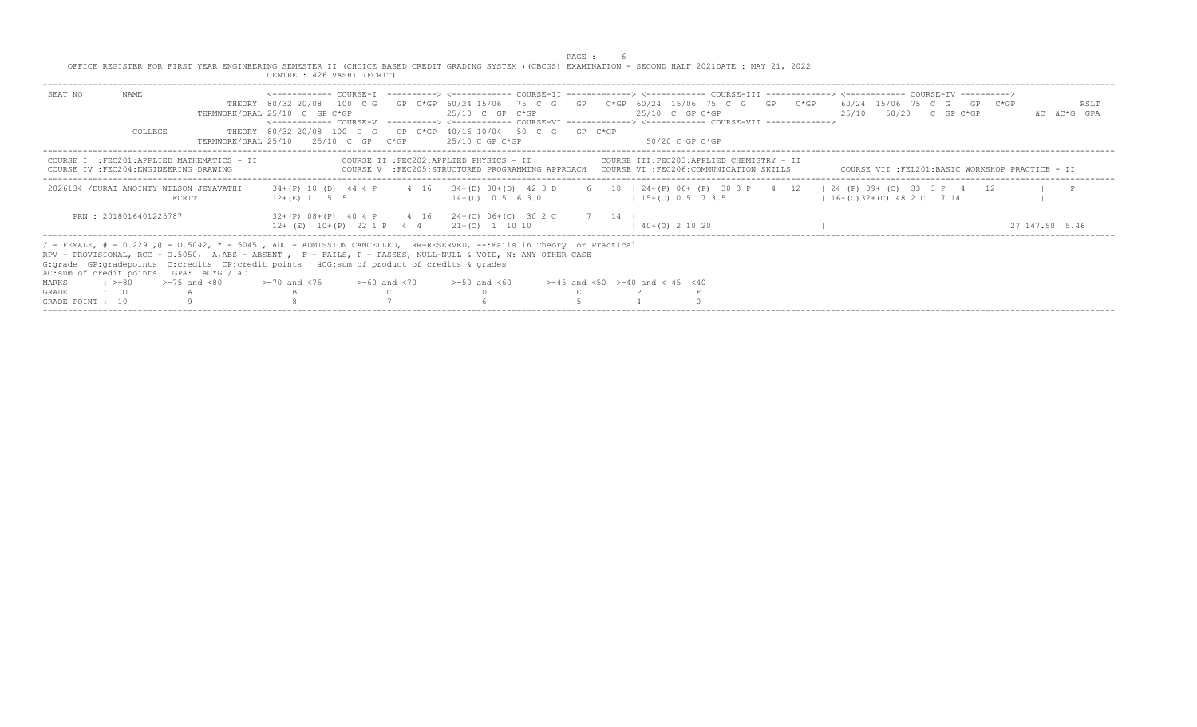|                  |                                                                                                                                                                                                                                                                                                                                                                                 |                                                                                                      |  |                                                                                                             | PAGE : |                                                                                                                                                                                                                                                                |                           |  |  |                                                 |
|------------------|---------------------------------------------------------------------------------------------------------------------------------------------------------------------------------------------------------------------------------------------------------------------------------------------------------------------------------------------------------------------------------|------------------------------------------------------------------------------------------------------|--|-------------------------------------------------------------------------------------------------------------|--------|----------------------------------------------------------------------------------------------------------------------------------------------------------------------------------------------------------------------------------------------------------------|---------------------------|--|--|-------------------------------------------------|
|                  | OFFICE REGISTER FOR FIRST YEAR ENGINEERING SEMESTER II (CHOICE BASED CREDIT GRADING SYSTEM ) (CBCGS) EXAMINATION - SECOND HALF 2021DATE : MAY 21, 2022                                                                                                                                                                                                                          | CENTRE : 426 VASHI (FCRIT)                                                                           |  |                                                                                                             |        |                                                                                                                                                                                                                                                                |                           |  |  |                                                 |
| SEAT NO          | NAME                                                                                                                                                                                                                                                                                                                                                                            | TERMWORK/ORAL 25/10 C GP C*GP                                                                        |  | $25/10$ C GP C*GP                                                                                           |        | THEORY 80/32 20/08 100 C G GP C*GP 60/24 15/06 75 C G GP C*GP 60/24 15/06 75 C G GP C*GP 60/24 15/06 75 C G GP C*GP<br>$25/10$ C GP C*GP<br><------------ COURSE-V -----------> <------------ COURSE-VI -------------> <------------ COURSE-VII -------------> | $25/10$ $50/20$ C GP C*GP |  |  | RSLT<br>AC AC*G GPA                             |
|                  | <b>COLLEGE</b>                                                                                                                                                                                                                                                                                                                                                                  | THEORY 80/32 20/08 100 C G GP C*GP 40/16 10/04 50 C G GP C*GP<br>TERMWORK/ORAL 25/10 25/10 C GP C*GP |  | $25/10$ C GP C*GP                                                                                           |        | -50/20 C GP C*GP                                                                                                                                                                                                                                               |                           |  |  |                                                 |
|                  | COURSE I : FEC201: APPLIED MATHEMATICS - II<br>COURSE IV : FEC204: ENGINEERING DRAWING                                                                                                                                                                                                                                                                                          |                                                                                                      |  | COURSE II : FEC202: APPLIED PHYSICS - II                                                                    |        | COURSE III:FEC203:APPLIED CHEMISTRY - II<br>COURSE V :FEC205:STRUCTURED PROGRAMMING APPROACH COURSE VI :FEC206:COMMUNICATION SKILLS                                                                                                                            |                           |  |  | COURSE VII :FEL201:BASIC WORKSHOP PRACTICE - II |
|                  | 2026134 / DURAI ANOINTY WILSON JEYAVATHI<br>FCRIT                                                                                                                                                                                                                                                                                                                               |                                                                                                      |  | $12 + (E)$ 1 5 5 1 $14 + (D)$ 0.5 6 3.0                                                                     |        | 34+(P) 10 (D) 44 4 P 4 16   34+(D) 08+(D) 42 3 D 6 18   24+(P) 06+ (P) 30 3 P 4 12   24 (P) 09+ (C) 33 3 P 4 12<br>$15+(C)$ 0.5 7 3.5 $16+(C)$ 32+(C) 48 2 C 7 14                                                                                              |                           |  |  | $\blacksquare$                                  |
|                  | PRN: 2018016401225787                                                                                                                                                                                                                                                                                                                                                           |                                                                                                      |  | $32+(P)$ 08+(P) 40 4 P 4 16   24+(C) 06+(C) 30 2 C 7 14  <br>$12+$ (E) $10+(P)$ 22 1 P 4 4   21+(0) 1 10 10 |        | $140+ (0)$ 2 10 20                                                                                                                                                                                                                                             |                           |  |  | 27 147 50 5.46                                  |
|                  | / - FEMALE, # - 0.229, @ - 0.5042, * - 5045, ADC - ADMISSION CANCELLED, RR-RESERVED, --:Fails in Theory or Practical<br>RPV - PROVISIONAL, RCC - 0.5050, A,ABS - ABSENT , F - FAILS, P - PASSES, NULL-NULL & VOID, N: ANY OTHER CASE<br>G: grade GP: gradepoints C: credits CP: credit points äCG: sum of product of credits & grades<br>äC:sum of credit points GPA: äC*G / äC |                                                                                                      |  |                                                                                                             |        |                                                                                                                                                                                                                                                                |                           |  |  |                                                 |
| MARKS            | $\div$ >=80 >=75 and <80                                                                                                                                                                                                                                                                                                                                                        | $>=70$ and $<75$ $>=60$ and $<70$                                                                    |  | $>=50$ and $<60$                                                                                            |        | $>=45$ and $<50$ $>=40$ and $< 45$ $<40$                                                                                                                                                                                                                       |                           |  |  |                                                 |
| <b>GRADE</b>     | $\cdot$ 0                                                                                                                                                                                                                                                                                                                                                                       |                                                                                                      |  |                                                                                                             |        |                                                                                                                                                                                                                                                                |                           |  |  |                                                 |
| GRADE POINT : 10 |                                                                                                                                                                                                                                                                                                                                                                                 |                                                                                                      |  |                                                                                                             |        |                                                                                                                                                                                                                                                                |                           |  |  |                                                 |
|                  |                                                                                                                                                                                                                                                                                                                                                                                 |                                                                                                      |  |                                                                                                             |        |                                                                                                                                                                                                                                                                |                           |  |  |                                                 |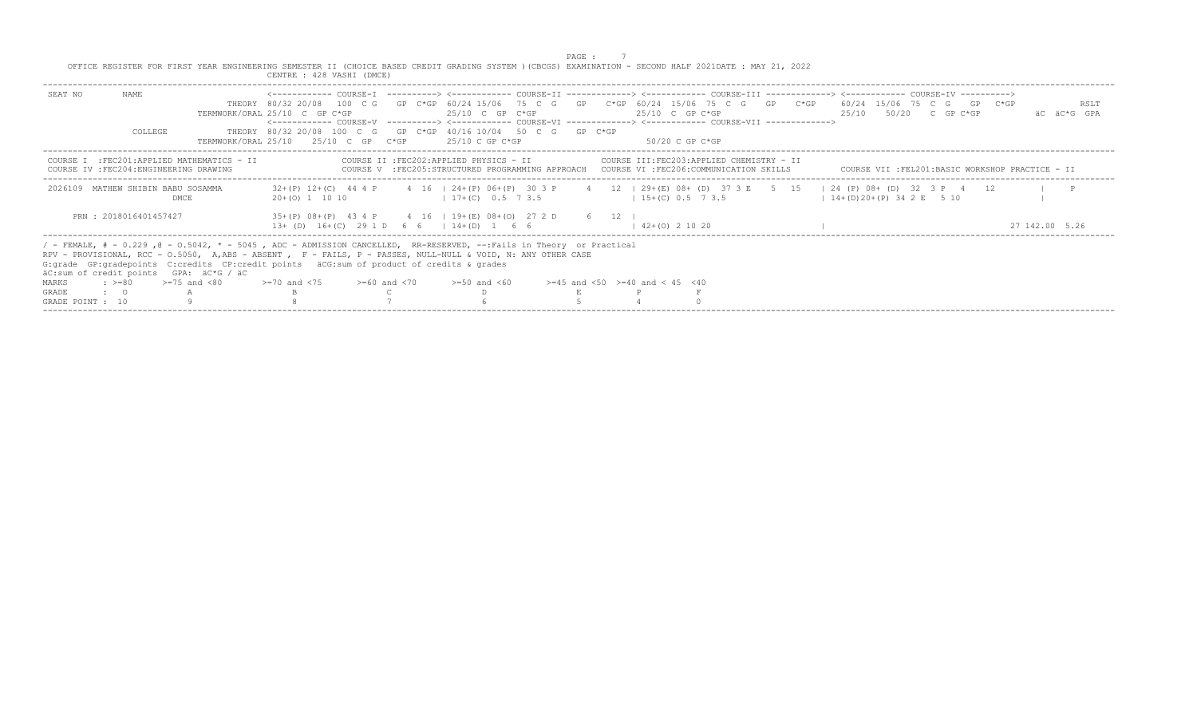|                  |                                                                                                                                                                                                                                                                                                                                                                                                                                 |                                                                                                                                                        |                                                                                                            |  |  |                                                       |  | PAGE : |                                                                                                                                                                            |                  |  |                                                                                                                                              |                     |  |
|------------------|---------------------------------------------------------------------------------------------------------------------------------------------------------------------------------------------------------------------------------------------------------------------------------------------------------------------------------------------------------------------------------------------------------------------------------|--------------------------------------------------------------------------------------------------------------------------------------------------------|------------------------------------------------------------------------------------------------------------|--|--|-------------------------------------------------------|--|--------|----------------------------------------------------------------------------------------------------------------------------------------------------------------------------|------------------|--|----------------------------------------------------------------------------------------------------------------------------------------------|---------------------|--|
|                  |                                                                                                                                                                                                                                                                                                                                                                                                                                 | OFFICE REGISTER FOR FIRST YEAR ENGINEERING SEMESTER II (CHOICE BASED CREDIT GRADING SYSTEM ) (CBCGS) EXAMINATION - SECOND HALF 2021DATE : MAY 21, 2022 | CENTRE : 428 VASHI (DMCE)                                                                                  |  |  |                                                       |  |        |                                                                                                                                                                            |                  |  |                                                                                                                                              |                     |  |
| SEAT NO          | NAME                                                                                                                                                                                                                                                                                                                                                                                                                            |                                                                                                                                                        | TERMWORK/ORAL 25/10 C GP C*GP                                                                              |  |  | $25/10$ C GP C*GP                                     |  |        | $25/10$ C GP C*GP<br><------------ COURSE-V ----------> <------------ COURSE-VI -------------> <------------ COURSE-VII ------------->                                     |                  |  | THEORY 80/32 20/08 100 C G GP C*GP 60/24 15/06 75 C G GP C*GP 60/24 15/06 75 C G GP C*GP 60/24 15/06 75 C G GP C*GP<br>25/10 50/20 C GP C*GP | RSLT<br>AC AC*G GPA |  |
|                  | COLLEGE                                                                                                                                                                                                                                                                                                                                                                                                                         |                                                                                                                                                        | THEORY 80/32 20/08 100 C G GP C*GP 40/16 10/04 50 C G GP C*GP<br>$TERMWORK/ORAL$ 25/10 $25/10$ C GP $C*GP$ |  |  | 25/10 C GP C*GP                                       |  |        |                                                                                                                                                                            | -50/20 C GP C*GP |  |                                                                                                                                              |                     |  |
|                  | COURSE IV : FEC204: ENGINEERING DRAWING                                                                                                                                                                                                                                                                                                                                                                                         | COURSE I : FEC201: APPLIED MATHEMATICS - II                                                                                                            |                                                                                                            |  |  |                                                       |  |        | COURSE II :FEC202:APPLIED PHYSICS - II COURSE III:FEC203:APPLIED CHEMISTRY - II<br>COURSE V :FEC205:STRUCTURED PROGRAMMING APPROACH COURSE VI :FEC206:COMMUNICATION SKILLS |                  |  | COURSE VII :FEL201:BASIC WORKSHOP PRACTICE - II                                                                                              |                     |  |
|                  | 2026109 MATHEW SHIBIN BABU SOSAMMA                                                                                                                                                                                                                                                                                                                                                                                              | DMCE                                                                                                                                                   | $20+(0)$ 1 10 10                                                                                           |  |  | $17+ (C)$ 0.5 7 3.5                                   |  |        | $1, 15 + (C)$ 0.5 7 3.5                                                                                                                                                    |                  |  | 32+(P) 12+(C) 44 4 P 4 16   24+(P) 06+(P) 30 3 P 4 12   29+(E) 08+ (D) 37 3 E 5 15   24 (P) 08+ (D) 32 3 P 4 12  <br>$14+(D)20+(P)342E$ 5 10 |                     |  |
|                  | PRN: 2018016401457427                                                                                                                                                                                                                                                                                                                                                                                                           |                                                                                                                                                        |                                                                                                            |  |  | 35+(P) 08+(P) 43 4 P 4 16   19+(E) 08+(O) 27 2 D 6 12 |  |        | $(42+ (0) 2 10 20)$                                                                                                                                                        |                  |  |                                                                                                                                              | 27 142.00 5.26      |  |
|                  | $13+$ (D) $16+(C)$ 29 1 D 6 6   14+(D) 1 6 6<br>/ - FEMALE, # - 0.229, @ - 0.5042, * - 5045, ADC - ADMISSION CANCELLED, RR-RESERVED, --:Fails in Theory or Practical<br>RPV - PROVISIONAL, RCC - 0.5050, A, ABS - ABSENT, F - FAILS, P - PASSES, NULL-NULL & VOID, N: ANY OTHER CASE<br>G: qrade GP: qradepoints C: credits CP: credit points äCG: sum of product of credits & qrades<br>äC:sum of credit points GPA: äC*G / äC |                                                                                                                                                        |                                                                                                            |  |  |                                                       |  |        |                                                                                                                                                                            |                  |  |                                                                                                                                              |                     |  |
| MARKS            | $\div$ >=80 >=75 and <80                                                                                                                                                                                                                                                                                                                                                                                                        |                                                                                                                                                        | $>=70$ and $<75$ $>=60$ and $<70$ $>=50$ and $<60$                                                         |  |  |                                                       |  |        | $>=45$ and $<50$ $>=40$ and $< 45$ $<40$                                                                                                                                   |                  |  |                                                                                                                                              |                     |  |
| <b>GRADE</b>     | $\cdot$ $\cdot$ 0                                                                                                                                                                                                                                                                                                                                                                                                               |                                                                                                                                                        |                                                                                                            |  |  |                                                       |  |        |                                                                                                                                                                            |                  |  |                                                                                                                                              |                     |  |
| GRADE POINT : 10 |                                                                                                                                                                                                                                                                                                                                                                                                                                 |                                                                                                                                                        |                                                                                                            |  |  |                                                       |  |        |                                                                                                                                                                            |                  |  |                                                                                                                                              |                     |  |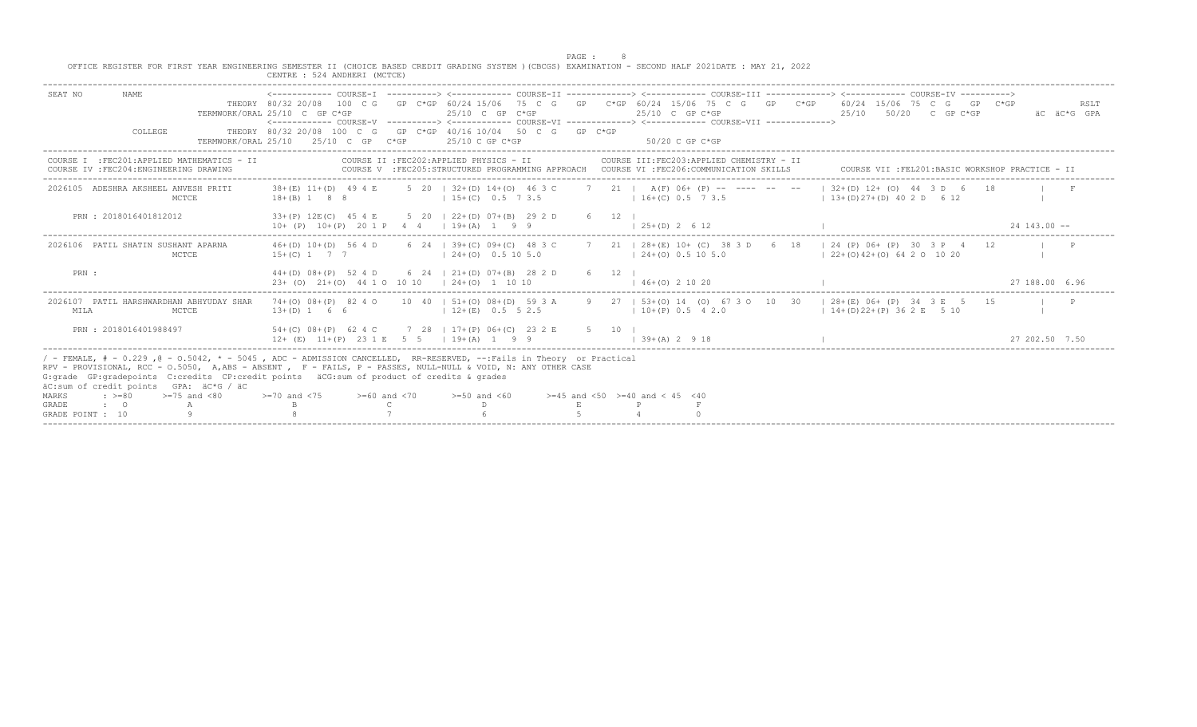|                                                                                                                                                                                                                                                                                                                                                                                                                                                                | CENTRE : 524 ANDHERI (MCTCE)                                           |                                                                                                         | PAGE :<br>OFFICE REGISTER FOR FIRST YEAR ENGINEERING SEMESTER II (CHOICE BASED CREDIT GRADING SYSTEM ) (CBCGS) EXAMINATION - SECOND HALF 2021DATE : MAY 21, 2022                                                                                                                   |                                                   |
|----------------------------------------------------------------------------------------------------------------------------------------------------------------------------------------------------------------------------------------------------------------------------------------------------------------------------------------------------------------------------------------------------------------------------------------------------------------|------------------------------------------------------------------------|---------------------------------------------------------------------------------------------------------|------------------------------------------------------------------------------------------------------------------------------------------------------------------------------------------------------------------------------------------------------------------------------------|---------------------------------------------------|
| SEAT NO<br>NAME.<br>COLLEGE<br>TERMWORK/ORAL 25/10                                                                                                                                                                                                                                                                                                                                                                                                             | TERMWORK/ORAL 25/10 C GP C*GP<br>$25/10$ C GP C*GP                     | $25/10$ C GP C*GP<br>THEORY 80/32 20/08 100 C G GP C*GP 40/16 10/04 50 C G GP C*GP<br>$25/10$ C GP C*GP | THEORY 80/32 20/08 100 C G GP C*GP 60/24 15/06 75 C G GP C*GP 60/24 15/06 75 C G GP C*GP 60/24 15/06 75 C G GP C*GP<br>$25/10$ C GP C*GP<br><------------ COURSE-V ----------> <------------ COURSE-VI -------------> <------------ COURSE-VII -------------><br>$50/20$ C GP C*GP | RSLT<br>2.5/10<br>50/20 C GP C*GP<br>äC äC*G GPA  |
| COURSE I : FEC201: APPLIED MATHEMATICS - II<br>COURSE IV : FEC204: ENGINEERING DRAWING                                                                                                                                                                                                                                                                                                                                                                         |                                                                        | COURSE IT : FEC202: APPLIED PHYSICS - II                                                                | COURSE III:FEC203:APPLIED CHEMISTRY - II<br>COURSE V :FEC205:STRUCTURED PROGRAMMING APPROACH COURSE VI :FEC206:COMMUNICATION SKILLS                                                                                                                                                | COURSE VII : FEL201: BASIC WORKSHOP PRACTICE - II |
| 2026105 ADESHRA AKSHEEL ANVESH PRITI<br>MCTCE                                                                                                                                                                                                                                                                                                                                                                                                                  | $18 + (B)$ 1 8 8                                                       | $1, 15 + (C)$ 0.5 7 3.5                                                                                 | 38+(E) 11+(D) 49 4 E 5 20   32+(D) 14+(O) 46 3 C 7 21   A(F) 06+ (P) -- ---- -- --   32+(D) 12+ (O) 44 3 D 6 18<br>$1\,3+(D)\,27+(D)\,40\,2(D)$ 6 12                                                                                                                               |                                                   |
| PRN: 2018016401812012                                                                                                                                                                                                                                                                                                                                                                                                                                          | 33+(P) 12E(C) 45 4 E<br>$10+$ (P) $10+(P)$ 20 1 P 4 4   $19+(A)$ 1 9 9 | 5 20 1 22 + (D) 07 + (B) 29 2 D                                                                         | $6 \t12 \t1$<br>$125+(D)2612$                                                                                                                                                                                                                                                      | $24, 143, 00 -$                                   |
| 2026106 PATIL SHATIN SUSHANT APARNA<br><b>MCTCE</b>                                                                                                                                                                                                                                                                                                                                                                                                            | $46+(D)$ $10+(D)$ 56 4 D<br>$15+(C)$ 1 7 7                             | 6 24 $\pm$ 39 + (C) 09 + (C) 48 3 C<br>$124+(0)$ 0.5 10 5.0                                             | 7 21   28 + (E) 10 + (C) 38 3 D 6 18   24 (P) 06 + (P) 30 3 P 4 12<br>$(24+(0), 0.5, 10, 5, 0)$                                                                                                                                                                                    | $122+(0)42+(0)64201020$                           |
| PRN :                                                                                                                                                                                                                                                                                                                                                                                                                                                          | $23+$ (0) $21+(0)$ 44 1 0 10 10 $(24+(0)$ 1 10 10                      | $44+(D)$ 08+(P) 52 4 D 6 24   21+(D) 07+(B) 28 2 D                                                      | 6 12 1<br>$146+ (0)$ 2 10 20                                                                                                                                                                                                                                                       | 27 188.00 6.96                                    |
| 2026107 PATIL HARSHWARDHAN ABHYUDAY SHAR<br>MCTCE<br>MILA                                                                                                                                                                                                                                                                                                                                                                                                      | $13+(D)$ 1 6 6                                                         | $12+(E)$ 0.5 5 2.5                                                                                      | 74+(0) 08+(P) 82 4 0 10 40   51+(0) 08+(D) 59 3 A 9 27   53+(0) 14 (0) 67 3 O 10 30   28+(E) 06+ (P) 34 3 E 5 15<br>$10+(P) 0.5 4 2.0$                                                                                                                                             | $1\ 14+(D)22+(P)362E$ 5 10                        |
| PRN : 2018016401988497                                                                                                                                                                                                                                                                                                                                                                                                                                         | $12+$ (E) $11+(P)$ 2.3 1 E 5 5 1 19 + (A) 1 9 9                        | 54+(C) 08+(P) 62 4 C 7 28   17+(P) 06+(C) 23 2 E                                                        | 5 10 1<br>$1 \t39+(A) \t2 \t9 \t18$                                                                                                                                                                                                                                                | 27 202.50 7.50                                    |
| / - FEMALE, # - 0.229, @ - 0.5042, * - 5045, ADC - ADMISSION CANCELLED, RR-RESERVED, --:Fails in Theory or Practical<br>RPV - PROVISIONAL, RCC - 0.5050, A, ABS - ABSENT, F - FAILS, P - PASSES, NULL-NULL & VOID, N: ANY OTHER CASE<br>G: grade GP: gradepoints C: credits CP: credit points aCG: sum of product of credits & grades<br>äC:sum of credit points GPA: äC*G / äC<br>$: >=80$<br>>=75 and <80<br>MARKS<br>GRADE<br>$\cdot$ 0<br>GRADE POINT : 10 | $>=70$ and $<75$ $>=60$ and $<70$                                      | $>= 50$ and $< 60$                                                                                      | $>=45$ and $<50$ $>=40$ and $< 45$ $<40$                                                                                                                                                                                                                                           |                                                   |
|                                                                                                                                                                                                                                                                                                                                                                                                                                                                |                                                                        |                                                                                                         |                                                                                                                                                                                                                                                                                    |                                                   |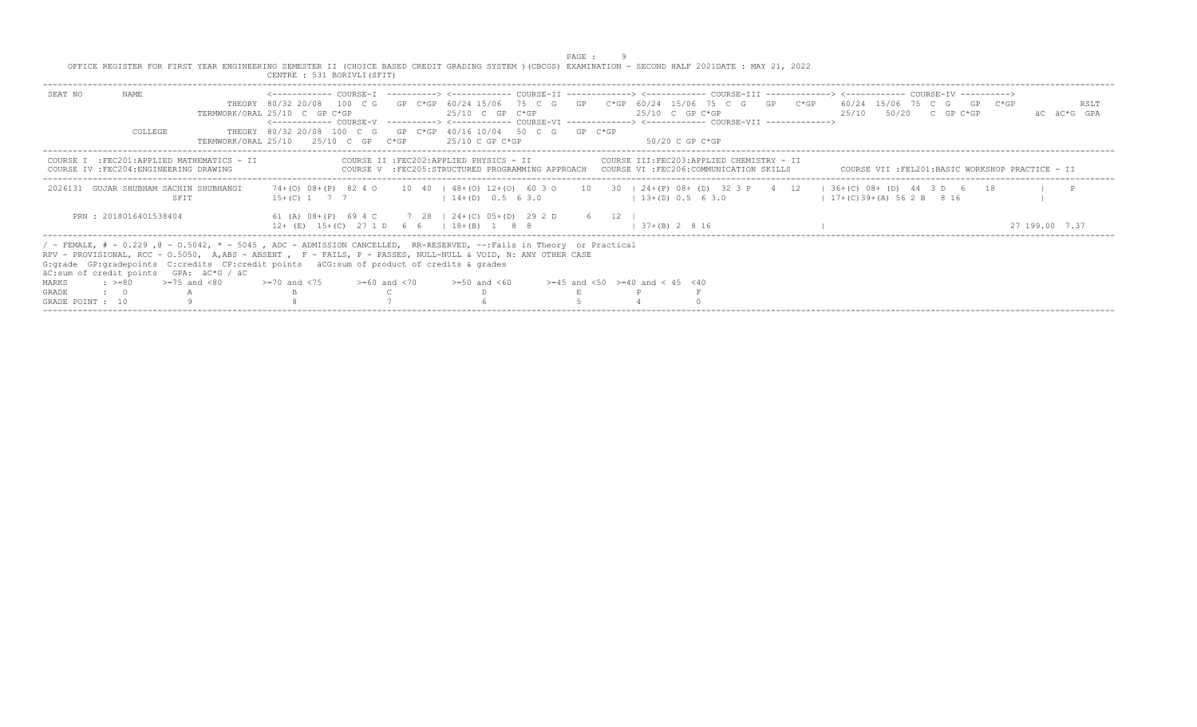|                  |                       | OFFICE REGISTER FOR FIRST YEAR ENGINEERING SEMESTER II (CHOICE BASED CREDIT GRADING SYSTEM ) (CBCGS) EXAMINATION - SECOND HALF 2021DATE : MAY 21, 2022                                                                                                                                                                                                                          |                                                                                                                                                                                                                                                                            |  |                                                                                                                                     | PAGE : |                                          |                                          |                       |                       |                                                 |
|------------------|-----------------------|---------------------------------------------------------------------------------------------------------------------------------------------------------------------------------------------------------------------------------------------------------------------------------------------------------------------------------------------------------------------------------|----------------------------------------------------------------------------------------------------------------------------------------------------------------------------------------------------------------------------------------------------------------------------|--|-------------------------------------------------------------------------------------------------------------------------------------|--------|------------------------------------------|------------------------------------------|-----------------------|-----------------------|-------------------------------------------------|
|                  |                       |                                                                                                                                                                                                                                                                                                                                                                                 | CENTRE : 531 BORIVLI (SFIT)                                                                                                                                                                                                                                                |  |                                                                                                                                     |        |                                          |                                          |                       |                       |                                                 |
| SEAT NO          | NAME                  |                                                                                                                                                                                                                                                                                                                                                                                 | THEORY 80/32 20/08 100 C G GP C*GP 60/24 15/06 75 C G GP C*GP 60/24 15/06 75 C G GP C*GP 60/24 15/06 75 C G GP C*GP<br>TERMWORK/ORAL 25/10 C GP C*GP<br><------------- COURSE-V ----------> <------------ COURSE-VI -------------> <------------ COURSE-VII -------------> |  | $25/10$ C GP C*GP                                                                                                                   |        | $25/10$ C GP C*GP                        |                                          |                       | 25/10 50/20 C GP C*GP | RSLT<br>AC AC*G GPA                             |
|                  | COLLEGE               |                                                                                                                                                                                                                                                                                                                                                                                 | THEORY 80/32 20/08 100 C G GP C*GP 40/16 10/04 50 C G GP C*GP<br>TERMWORK/ORAL 25/10 25/10 C GP C*GP                                                                                                                                                                       |  | 25/10 C GP C*GP                                                                                                                     |        | $50/20$ C GP C*GP                        |                                          |                       |                       |                                                 |
|                  |                       | COURSE I : FEC201: APPLIED MATHEMATICS - II<br>COURSE IV : FEC204: ENGINEERING DRAWING                                                                                                                                                                                                                                                                                          |                                                                                                                                                                                                                                                                            |  | COURSE II : FEC202: APPLIED PHYSICS - II<br>COURSE V :FEC205:STRUCTURED PROGRAMMING APPROACH COURSE VI :FEC206:COMMUNICATION SKILLS |        |                                          | COURSE III:FEC203:APPLIED CHEMISTRY - II |                       |                       | COURSE VII :FEL201:BASIC WORKSHOP PRACTICE - II |
|                  |                       | 2026131 GUJAR SHUBHAM SACHIN SHUBHANGI<br>SFIT                                                                                                                                                                                                                                                                                                                                  | 74+(0) 08+(P) 82 4 0 10 40   48+(0) 12+(0) 60 3 0 10 30   24+(P) 08+ (D) 32 3 P 4 12   36+(C) 08+ (D) 44 3 D 6 18<br>$15+(C)$ 1 7 7                                                                                                                                        |  | $14+(D)$ 0.5 6 3.0                                                                                                                  |        | $13+(D) 0.5 6 3.0$                       |                                          | $17+(C)39+(A)562B816$ |                       | $\mathbb{P}$                                    |
|                  | PRN: 2018016401538404 |                                                                                                                                                                                                                                                                                                                                                                                 | 61 (A) 08+ (P) 69 4 C 7 28   24+ (C) 05+ (D) 29 2 D 6 12<br>$12+$ (E) $15+(C)$ 27 1 D 6 6   18 + (B) 1 8 8                                                                                                                                                                 |  |                                                                                                                                     |        | $37+ (R)$ 2 8 16                         |                                          |                       |                       | 27 199 00 7 37                                  |
|                  |                       | / - FEMALE, # - 0.229, @ - 0.5042, * - 5045, ADC - ADMISSION CANCELLED, RR-RESERVED, --:Fails in Theory or Practical<br>RPV - PROVISIONAL, RCC - 0.5050, A, ABS - ABSENT, F - FAILS, P - PASSES, NULL-NULL & VOID, N: ANY OTHER CASE<br>G: grade GP: gradepoints C: credits CP: credit points aCG: sum of product of credits & grades<br>äC:sum of credit points GPA: äC*G / äC |                                                                                                                                                                                                                                                                            |  |                                                                                                                                     |        |                                          |                                          |                       |                       |                                                 |
| MARKS            |                       | $\approx$ $> = 80$ $\approx$ $= 75$ and $< 80$                                                                                                                                                                                                                                                                                                                                  | $>=70$ and $<75$ $>=60$ and $<70$                                                                                                                                                                                                                                          |  | $>=50$ and $<60$                                                                                                                    |        | $>=45$ and $<50$ $>=40$ and $< 45$ $<40$ |                                          |                       |                       |                                                 |
| GRADE            | $\cdot$ $\cdot$ 0     |                                                                                                                                                                                                                                                                                                                                                                                 |                                                                                                                                                                                                                                                                            |  |                                                                                                                                     |        |                                          |                                          |                       |                       |                                                 |
| GRADE POINT : 10 |                       |                                                                                                                                                                                                                                                                                                                                                                                 |                                                                                                                                                                                                                                                                            |  |                                                                                                                                     |        |                                          |                                          |                       |                       |                                                 |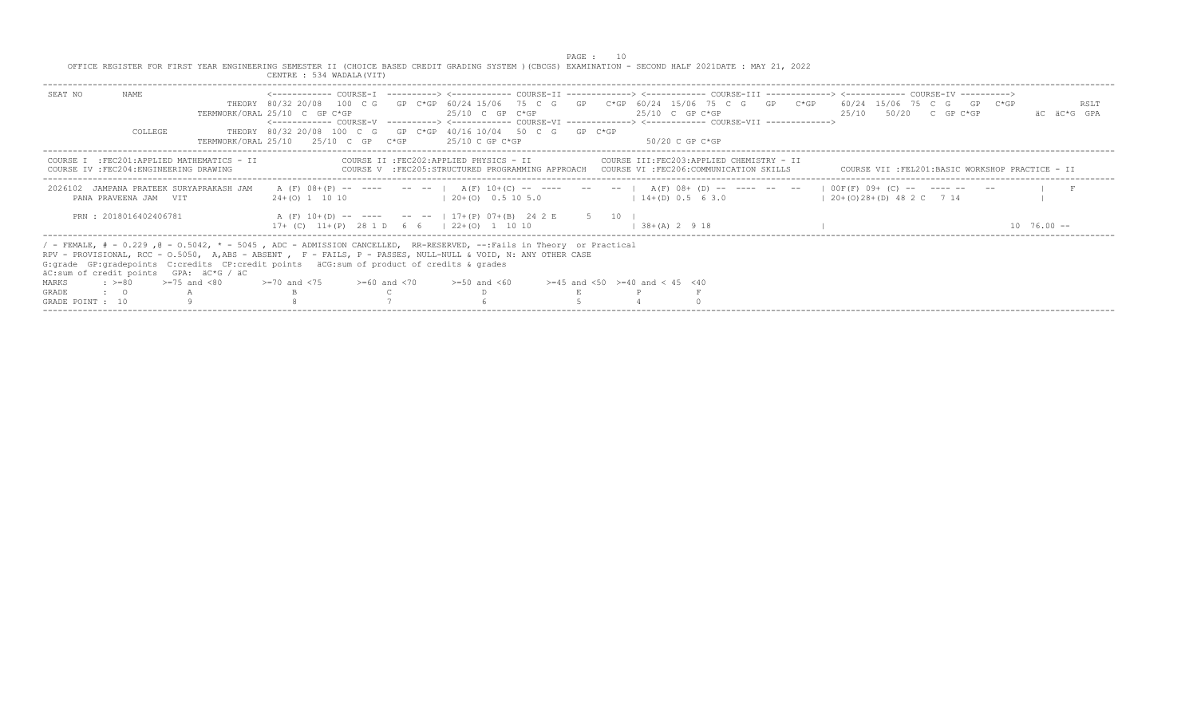|                  |                       |                                                                                                                                                                                                                                                                                                                                                                                 |                                   |                                                                                                                                | PAGE : 10 |                                          |                                                                                                                                     |                                                                                                                                                                      |                       |
|------------------|-----------------------|---------------------------------------------------------------------------------------------------------------------------------------------------------------------------------------------------------------------------------------------------------------------------------------------------------------------------------------------------------------------------------|-----------------------------------|--------------------------------------------------------------------------------------------------------------------------------|-----------|------------------------------------------|-------------------------------------------------------------------------------------------------------------------------------------|----------------------------------------------------------------------------------------------------------------------------------------------------------------------|-----------------------|
|                  |                       | OFFICE REGISTER FOR FIRST YEAR ENGINEERING SEMESTER II (CHOICE BASED CREDIT GRADING SYSTEM )(CBCGS) EXAMINATION - SECOND HALF 2021DATE : MAY 21, 2022                                                                                                                                                                                                                           | CENTRE : 534 WADALA (VIT)         |                                                                                                                                |           |                                          |                                                                                                                                     |                                                                                                                                                                      |                       |
| SEAT NO          | NAME.                 |                                                                                                                                                                                                                                                                                                                                                                                 | TERMWORK/ORAL 25/10 C GP C*GP     | $25/10$ C GP C*GP                                                                                                              |           | $25/10$ C GP C*GP                        | <------------ COURSE-V -----------> <------------ COURSE-VI -------------> <------------ COURSE-VII ------------->                  | THEORY 80/32 20/08 100 C G GP C*GP 60/24 15/06 75 C G GP C*GP 60/24 15/06 75 C G GP C*GP 60/24 15/06 75 C G GP C*GP<br>$25/10$ $50/20$ C GP C*GP                     | RSLT<br>AC AC*G GPA   |
|                  | COLLEGE               |                                                                                                                                                                                                                                                                                                                                                                                 |                                   | THEORY 80/32 20/08 100 C G GP C*GP 40/16 10/04 50 C G GP C*GP<br>TERMWORK/ORAL $25/10$ $25/10$ C GP $C*GP$ $25/10$ C GP $C*GP$ |           | 50/20 C GP C*GP                          |                                                                                                                                     |                                                                                                                                                                      |                       |
|                  |                       | COURSE I : FEC201: APPLIED MATHEMATICS - II<br>COURSE IV : FEC204: ENGINEERING DRAWING                                                                                                                                                                                                                                                                                          |                                   | COURSE II : FEC202: APPLIED PHYSICS - II                                                                                       |           |                                          | COURSE III:FEC203:APPLIED CHEMISTRY - II<br>COURSE V :FEC205:STRUCTURED PROGRAMMING APPROACH COURSE VI :FEC206:COMMUNICATION SKILLS | COURSE VII :FEL201:BASIC WORKSHOP PRACTICE - II                                                                                                                      |                       |
|                  | PANA PRAVEENA JAM VIT | 2026102 JAMPANA PRATEEK SURYAPRAKASH JAM                                                                                                                                                                                                                                                                                                                                        |                                   | $24+(0)$ 1 10 10                                                                                                               |           |                                          |                                                                                                                                     | A (F) 08+(P) -- ---- -- --   A(F) 10+(C) -- ---- -- --   A(F) 08+ (D) -- ---- -- --   OOF(F) 09+ (C) -- ---- -- --<br>$14+(D)$ 0.5 6 3.0 $120+(O)28+(D)$ 48 2 C 7 14 |                       |
|                  | PRN: 2018016402406781 |                                                                                                                                                                                                                                                                                                                                                                                 |                                   | A (F) 10+(D) -- ---- -- --   17+(P) 07+(B) 24 2 E 5 10<br>$17+$ (C) $11+(P)$ 28 1 D 6 6 $\mid$ 22+(0) 1 10 10                  |           | $1 \t38 + (A) \t2 \t9 \t18$              |                                                                                                                                     |                                                                                                                                                                      | $10 \t 76 \t 00 \t -$ |
|                  |                       | / - FEMALE, # - 0.229, @ - 0.5042, * - 5045, ADC - ADMISSION CANCELLED, RR-RESERVED, --:Fails in Theory or Practical<br>RPV - PROVISIONAL, RCC - 0.5050, A,ABS - ABSENT , F - FAILS, P - PASSES, NULL-NULL & VOID, N: ANY OTHER CASE<br>G: grade GP: gradepoints C: credits CP: credit points äCG: sum of product of credits & grades<br>äC:sum of credit points GPA: äC*G / äC |                                   |                                                                                                                                |           |                                          |                                                                                                                                     |                                                                                                                                                                      |                       |
| MARKS            |                       | $\Rightarrow$ $>=$ 80 $\Rightarrow$ $=$ 75 and <80                                                                                                                                                                                                                                                                                                                              | $>=70$ and $<75$ $>=60$ and $<70$ | $>=50$ and $<60$                                                                                                               |           | $>=45$ and $<50$ $>=40$ and $< 45$ $<40$ |                                                                                                                                     |                                                                                                                                                                      |                       |
| GRADE            | $\cdot$ $\cdot$ 0     |                                                                                                                                                                                                                                                                                                                                                                                 |                                   |                                                                                                                                |           |                                          |                                                                                                                                     |                                                                                                                                                                      |                       |
| GRADE POINT : 10 |                       |                                                                                                                                                                                                                                                                                                                                                                                 |                                   |                                                                                                                                |           |                                          |                                                                                                                                     |                                                                                                                                                                      |                       |
|                  |                       |                                                                                                                                                                                                                                                                                                                                                                                 |                                   |                                                                                                                                |           |                                          |                                                                                                                                     |                                                                                                                                                                      |                       |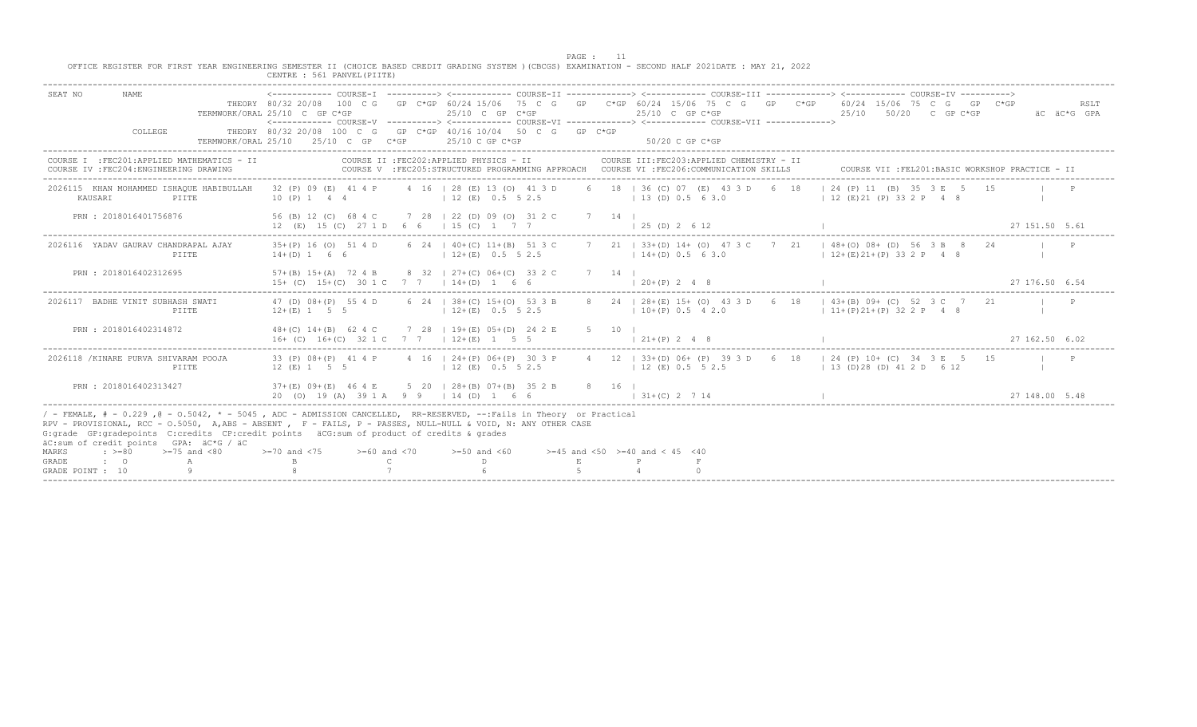PAGE : 11<br>OFFICE REGISTER FOR FIRST YEAR ENGINEERING SEMESTER II (CHOICE BASED CREDIT GRADING SYSTEM )(CBCGS) EXAMINATION - SECOND HALF 2021DATE : MAY 21, 2022

|                                                                                                                                                                                                                                                                                                                                                                                                                                                                        | CENTRE : 561 PANVEL (PIITE                                                   |                                                                                                         |                                                                                                                                                                                                                                                       |                                                                                  |
|------------------------------------------------------------------------------------------------------------------------------------------------------------------------------------------------------------------------------------------------------------------------------------------------------------------------------------------------------------------------------------------------------------------------------------------------------------------------|------------------------------------------------------------------------------|---------------------------------------------------------------------------------------------------------|-------------------------------------------------------------------------------------------------------------------------------------------------------------------------------------------------------------------------------------------------------|----------------------------------------------------------------------------------|
| SEAT NO<br><b>NAME</b><br>COLLEGE<br>TERMWORK/ORAL 25/10                                                                                                                                                                                                                                                                                                                                                                                                               | TERMWORK/ORAL 25/10 C GP C*GP<br>$25/10$ C GP C*GP                           | $25/10$ C GP C*GP<br>THEORY 80/32 20/08 100 C G GP C*GP 40/16 10/04 50 C G GP C*GP<br>$25/10$ C GP C*GP | THEORY 80/32 20/08 100 C G GP C*GP 60/24 15/06 75 C G GP C*GP 60/24 15/06 75 C G GP C*GP<br>$25/10$ C GP C*GP<br><------------ COURSE-V ----------> <------------ COURSE-VI -------------> <------------ COURSE-VII -------------><br>50/20 C GP C*GP | 60/24 15/06 75 C G<br>GP C*GP<br>RSLT<br>25/10<br>50/20 C GP C*GP<br>äC äC*G GPA |
| COURSE I : FEC201: APPLIED MATHEMATICS - II<br>COURSE IV : FEC204: ENGINEERING DRAWING                                                                                                                                                                                                                                                                                                                                                                                 |                                                                              | COURSE II : FEC202: APPLIED PHYSICS - II                                                                | COURSE III: FEC203: APPLIED CHEMISTRY - II<br>COURSE V : FEC205: STRUCTURED PROGRAMMING APPROACH COURSE VI : FEC206: COMMUNICATION SKILLS                                                                                                             | COURSE VII : FEL201: BASIC WORKSHOP PRACTICE - II                                |
| 2026115 KHAN MOHAMMED ISHAOUE HABIBULLAH<br>KAUSARI<br>PIITE                                                                                                                                                                                                                                                                                                                                                                                                           | 10 (P) 1 4 4                                                                 | 32 (P) 09 (E) 41 4 P 4 16 1 28 (E) 13 (O) 41 3 D<br>1 12 (E) 0.5 5 2.5                                  | 6 18   36 (C) 07 (E) 43 3 D 6 18   24 (P) 11 (B) 35 3 E 5 15<br>(13)(D) 0.5 6 3.0                                                                                                                                                                     | $12$ (E) 21 (P) 33 2 P 4 8                                                       |
| PRN : 2018016401756876                                                                                                                                                                                                                                                                                                                                                                                                                                                 | 12 (E) 15 (C) 27 1 D 6 6 1 15 (C) 1 7 7                                      | 56 (B) 12 (C) 68 4 C 7 28   22 (D) 09 (O) 31 2 C                                                        | 7 14 1<br>$1, 25$ (D) $2, 6, 12$                                                                                                                                                                                                                      | 27 151.50 5.61                                                                   |
| 2026116 YADAV GAURAV CHANDRAPAL AJAY<br>PIITE                                                                                                                                                                                                                                                                                                                                                                                                                          | 35+(P) 16 (O) 51 4 D<br>$14+(D) 1 6 6$                                       | 6 24   40+(C) 11+(B) 51 3 C<br>$12+(E)$ 0.5 5 2.5                                                       | 7 21   33+(D) 14+ (O) 47 3 C 7 21   48+(O) 08+ (D) 56 3 B 8<br>$14+(D) 0.5 6 3.0$                                                                                                                                                                     | $12+(E)21+(P)332P$ 4 8                                                           |
| PRN : 2018016402312695                                                                                                                                                                                                                                                                                                                                                                                                                                                 | $57+$ (B) $15+$ (A) 72 4 B<br>$15+$ (C) $15+(C)$ 30 1 C 7 7 1 $14+(D)$ 1 6 6 | 8 32   27+(C) 06+(C) 33 2 C                                                                             | 7 14 1<br>$1, 20+(P)$ , 2, 4, 8                                                                                                                                                                                                                       | 27 176 50 6 54                                                                   |
| 2026117 BADHE VINIT SUBHASH SWATI<br>PIITE                                                                                                                                                                                                                                                                                                                                                                                                                             | 47 (D) 08+ (P) 55 4 D<br>$12+(E)$ 1 5 5                                      | 6 24 1 38 + (C) 15 + (O) 53 3 B                                                                         | 8 24   28 + (E) 15 + (O) 43 3 D 6 18   43 + (B) 09 + (C) 52 3 C 7 21<br>$12+(E)$ 0.5 5 2.5 10+(P) 0.5 4 2.0                                                                                                                                           | $11+(P)21+(P)322P48$                                                             |
| PRN : 2018016402314872                                                                                                                                                                                                                                                                                                                                                                                                                                                 | 16+ (C) 16+ (C) 32 1 C 7 7 1 12+ (E) 1 5 5                                   | 48+(C) 14+(B) 62 4 C 7 28   19+(E) 05+(D) 24 2 E                                                        | 5 10  <br>$121+(P) 248$                                                                                                                                                                                                                               | 27, 162, 50, 6, 02                                                               |
| 2026118 / KINARE PURVA SHIVARAM POOJA<br>PIITE                                                                                                                                                                                                                                                                                                                                                                                                                         | $12$ (E) 1 5 5                                                               | $12(E)$ 0.5 5 2.5                                                                                       | 33 (P) 08+(P) 41 4 P 4 16   24+(P) 06+(P) 30 3 P 4 12   33+(D) 06+ (P) 39 3 D 6 18   24 (P) 10+ (C) 34 3 E 5 15<br>1 12 (E) 0.5 5 2.5                                                                                                                 | $13$ (D) 28 (D) 41 2 D 6 12                                                      |
| PRN : 2018016402313427                                                                                                                                                                                                                                                                                                                                                                                                                                                 | $37+(E)$ 09+(E) 46 4 E<br>20 (0) 19 (A) 39 1 A 9 9   14 (D) 1 6 6            | 5 20   28 + (B) 07 + (B) 35 2 B                                                                         | 8 16 1<br>$1 \t31 + (C) \t2 \t7 \t14$                                                                                                                                                                                                                 | 27 148.00 5.48                                                                   |
| / - FEMALE, # - 0.229, @ - 0.5042, * - 5045, ADC - ADMISSION CANCELLED, RR-RESERVED, --:Fails in Theory or Practical<br>RPV - PROVISIONAL, RCC - 0.5050, A,ABS - ABSENT, F - FAILS, P - PASSES, NULL-NULL & VOID, N: ANY OTHER CASE<br>G: grade GP: gradepoints C: credits CP: credit points aCG: sum of product of credits & grades<br>äC:sum of credit points GPA: äC*G / äC<br>$> = 75$ and $< 80$<br>MARKS<br>$: > = 80$<br>GRADE<br>$\cdot$ 0<br>GRADE POINT : 10 | $> = 70$ and $< 75$ $> = 60$ and $< 70$<br>B                                 | $>=50$ and $<60$                                                                                        | $>=45$ and $<50$ $>=40$ and $< 45$ $<40$                                                                                                                                                                                                              |                                                                                  |

-----------------------------------------------------------------------------------------------------------------------------------------------------------------------------------------------------------------------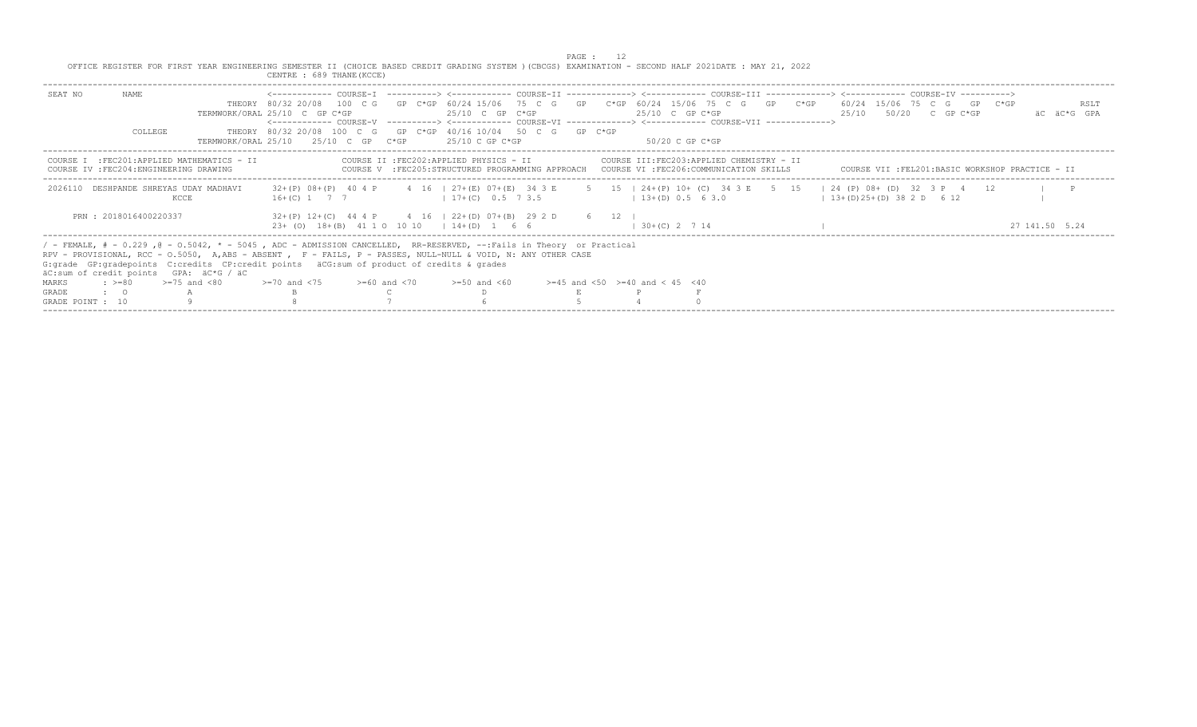| OFFICE REGISTER FOR FIRST YEAR ENGINEERING SEMESTER II (CHOICE BASED CREDIT GRADING SYSTEM ) (CBCGS) EXAMINATION - SECOND HALF 2021DATE : MAY 21, 2022<br>CENTRE : 689 THANE (KCCE)<br>NAME<br>SEAT NO<br>THEORY 80/32 20/08 100 C G GP C*GP 60/24 15/06 75 C G GP C*GP 60/24 15/06 75 C G GP C*GP 60/24 15/06 75 C G GP C*GP<br>RSLT<br>$25/10$ C GP C*GP<br>$25/10$ C GP C*GP<br>25/10 50/20 C GP C*GP<br>TERMWORK/ORAL 25/10 C GP C*GP<br>AC AC*G GPA<br><------------ COURSE-V ----------> <------------ COURSE-VI -------------> <------------- COURSE-VII -------------><br>THEORY 80/32 20/08 100 C G GP C*GP 40/16 10/04 50 C G GP C*GP<br>COLLEGE<br>TERMWORK/ORAL 25/10 25/10 C GP C*GP<br>25/10 C GP C*GP<br>$50/20$ C GP C*GP<br>COURSE II : FEC202: APPLIED PHYSICS - II<br>COURSE III:FEC203:APPLIED CHEMISTRY - II<br>COURSE I : FEC201: APPLIED MATHEMATICS - II<br>COURSE V :FEC205:STRUCTURED PROGRAMMING APPROACH COURSE VI :FEC206:COMMUNICATION SKILLS<br>COURSE IV : FEC204: ENGINEERING DRAWING<br>COURSE VII :FEL201:BASIC WORKSHOP PRACTICE - II<br>32+(P) 08+(P) 40 4 P 4 16   27+(E) 07+(E) 34 3 E 5 15   24+(P) 10+ (C) 34 3 E 5 15   24 (P) 08+ (D) 32 3 P 4 12<br>DESHPANDE SHREYAS UDAY MADHAVI<br>$\blacksquare$<br>2026110<br>16+(C) 1 7 7 1 17+(C) 0.5 7 3.5<br>$13+(D) 0.5 6 3.0$<br>$(13+(D)25+(D)382D 612)$<br>KCCE<br>PRN: 2018016400220337<br>$32+(P)$ 12+(C) 44 4 P 4 16   22+(D) 07+(B) 29 2 D 6 12<br>23+ (0) 18+(B) 41 1 0 10 10 + 14+(D) 1 6 6<br>$1, 30 + (C), 2, 7, 14$<br>27 141 50 5.24<br>/ - FEMALE, # - 0.229, @ - 0.5042, * - 5045, ADC - ADMISSION CANCELLED, RR-RESERVED, --:Fails in Theory or Practical<br>RPV - PROVISIONAL, RCC - 0.5050, A, ABS - ABSENT, F - FAILS, P - PASSES, NULL-NULL & VOID, N: ANY OTHER CASE<br>G: grade GP: gradepoints C: credits CP: credit points aCG: sum of product of credits & grades<br>äC:sum of credit points GPA: äC*G / äC<br>$\div$ >=80 >=75 and <80<br>$>=70$ and $<75$ $>=60$ and $<70$<br>MARKS<br>$>=50$ and $<60$<br>$>=45$ and $<50$ $>=40$ and $< 45$ $<40$ |  |  |  |  | PAGE : |  |  |  |  |  |
|----------------------------------------------------------------------------------------------------------------------------------------------------------------------------------------------------------------------------------------------------------------------------------------------------------------------------------------------------------------------------------------------------------------------------------------------------------------------------------------------------------------------------------------------------------------------------------------------------------------------------------------------------------------------------------------------------------------------------------------------------------------------------------------------------------------------------------------------------------------------------------------------------------------------------------------------------------------------------------------------------------------------------------------------------------------------------------------------------------------------------------------------------------------------------------------------------------------------------------------------------------------------------------------------------------------------------------------------------------------------------------------------------------------------------------------------------------------------------------------------------------------------------------------------------------------------------------------------------------------------------------------------------------------------------------------------------------------------------------------------------------------------------------------------------------------------------------------------------------------------------------------------------------------------------------------------------------------------------------------------------------------------------------------------------------------------|--|--|--|--|--------|--|--|--|--|--|
|                                                                                                                                                                                                                                                                                                                                                                                                                                                                                                                                                                                                                                                                                                                                                                                                                                                                                                                                                                                                                                                                                                                                                                                                                                                                                                                                                                                                                                                                                                                                                                                                                                                                                                                                                                                                                                                                                                                                                                                                                                                                      |  |  |  |  |        |  |  |  |  |  |
|                                                                                                                                                                                                                                                                                                                                                                                                                                                                                                                                                                                                                                                                                                                                                                                                                                                                                                                                                                                                                                                                                                                                                                                                                                                                                                                                                                                                                                                                                                                                                                                                                                                                                                                                                                                                                                                                                                                                                                                                                                                                      |  |  |  |  |        |  |  |  |  |  |
|                                                                                                                                                                                                                                                                                                                                                                                                                                                                                                                                                                                                                                                                                                                                                                                                                                                                                                                                                                                                                                                                                                                                                                                                                                                                                                                                                                                                                                                                                                                                                                                                                                                                                                                                                                                                                                                                                                                                                                                                                                                                      |  |  |  |  |        |  |  |  |  |  |
|                                                                                                                                                                                                                                                                                                                                                                                                                                                                                                                                                                                                                                                                                                                                                                                                                                                                                                                                                                                                                                                                                                                                                                                                                                                                                                                                                                                                                                                                                                                                                                                                                                                                                                                                                                                                                                                                                                                                                                                                                                                                      |  |  |  |  |        |  |  |  |  |  |
|                                                                                                                                                                                                                                                                                                                                                                                                                                                                                                                                                                                                                                                                                                                                                                                                                                                                                                                                                                                                                                                                                                                                                                                                                                                                                                                                                                                                                                                                                                                                                                                                                                                                                                                                                                                                                                                                                                                                                                                                                                                                      |  |  |  |  |        |  |  |  |  |  |
|                                                                                                                                                                                                                                                                                                                                                                                                                                                                                                                                                                                                                                                                                                                                                                                                                                                                                                                                                                                                                                                                                                                                                                                                                                                                                                                                                                                                                                                                                                                                                                                                                                                                                                                                                                                                                                                                                                                                                                                                                                                                      |  |  |  |  |        |  |  |  |  |  |
|                                                                                                                                                                                                                                                                                                                                                                                                                                                                                                                                                                                                                                                                                                                                                                                                                                                                                                                                                                                                                                                                                                                                                                                                                                                                                                                                                                                                                                                                                                                                                                                                                                                                                                                                                                                                                                                                                                                                                                                                                                                                      |  |  |  |  |        |  |  |  |  |  |
|                                                                                                                                                                                                                                                                                                                                                                                                                                                                                                                                                                                                                                                                                                                                                                                                                                                                                                                                                                                                                                                                                                                                                                                                                                                                                                                                                                                                                                                                                                                                                                                                                                                                                                                                                                                                                                                                                                                                                                                                                                                                      |  |  |  |  |        |  |  |  |  |  |
| GRADE<br>$\cdot$ $\cdot$ 0<br>GRADE POINT : 10                                                                                                                                                                                                                                                                                                                                                                                                                                                                                                                                                                                                                                                                                                                                                                                                                                                                                                                                                                                                                                                                                                                                                                                                                                                                                                                                                                                                                                                                                                                                                                                                                                                                                                                                                                                                                                                                                                                                                                                                                       |  |  |  |  |        |  |  |  |  |  |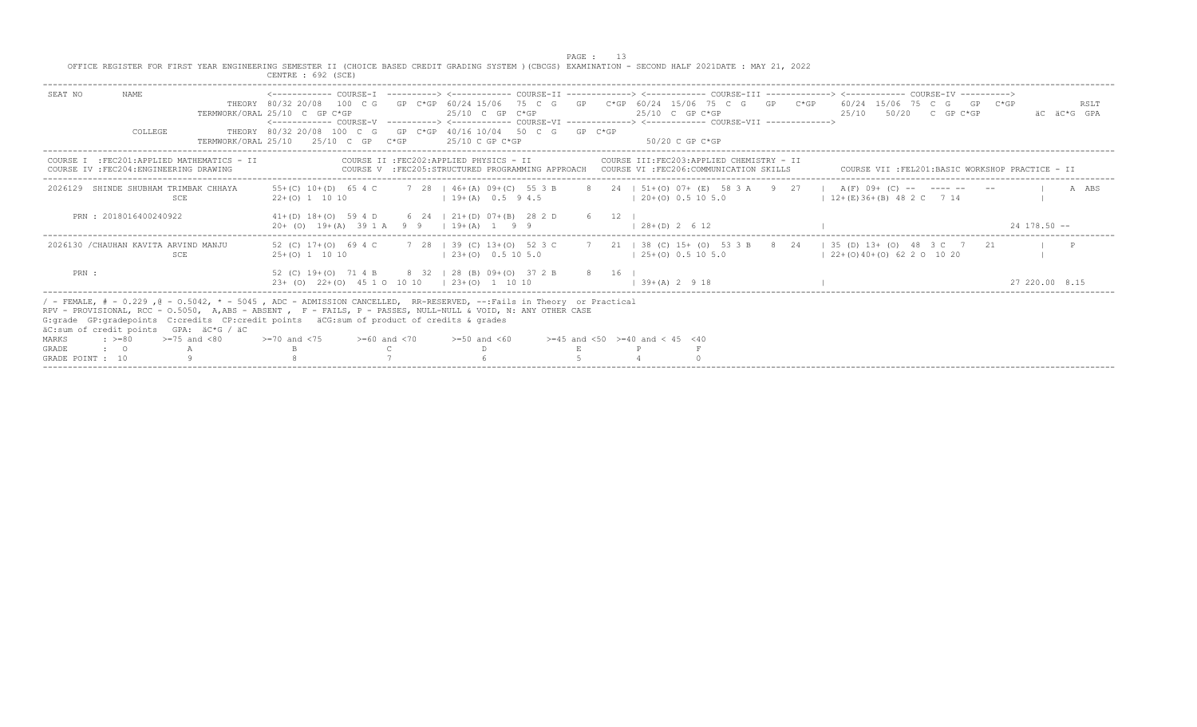PAGE : 13<br>OFFICE REGISTER FOR FIRST YEAR ENGINEERING SEMESTER II (CHOICE BASED CREDIT GRADING SYSTEM )(CBCGS) EXAMINATION - SECOND HALF 2021DATE : MAY 21, 2022

| CENTRE : 692 (SCE)                                                    |                                        |                                                                                                                                                                                                                                                       |                                                                                                                                                                                                                                                                                                                                                                                                                                                                                                                                                                                                                                                              |                                                                                                                                                                                                                                                                                                                                                                                                                                                                                                                                                                                |
|-----------------------------------------------------------------------|----------------------------------------|-------------------------------------------------------------------------------------------------------------------------------------------------------------------------------------------------------------------------------------------------------|--------------------------------------------------------------------------------------------------------------------------------------------------------------------------------------------------------------------------------------------------------------------------------------------------------------------------------------------------------------------------------------------------------------------------------------------------------------------------------------------------------------------------------------------------------------------------------------------------------------------------------------------------------------|--------------------------------------------------------------------------------------------------------------------------------------------------------------------------------------------------------------------------------------------------------------------------------------------------------------------------------------------------------------------------------------------------------------------------------------------------------------------------------------------------------------------------------------------------------------------------------|
| TERMWORK/ORAL 25/10 C GP C*GP<br>TERMWORK/ORAT, 25/10 25/10 C GP C*GP | $25/10$ C GP C*GP<br>$25/10$ C GP C*GP | 25/10 C GP C*GP<br>50/20 C GP C*GP                                                                                                                                                                                                                    | 25/10 50/20 C GP C*GP                                                                                                                                                                                                                                                                                                                                                                                                                                                                                                                                                                                                                                        | RSLT<br>AC AC*G GPA                                                                                                                                                                                                                                                                                                                                                                                                                                                                                                                                                            |
| COURSE I : FEC201: APPLIED MATHEMATICS - II                           |                                        |                                                                                                                                                                                                                                                       |                                                                                                                                                                                                                                                                                                                                                                                                                                                                                                                                                                                                                                                              |                                                                                                                                                                                                                                                                                                                                                                                                                                                                                                                                                                                |
| $22+(0)$ 1 10 10                                                      | $1\,9+(A)\,0.5\,9.4.5$                 |                                                                                                                                                                                                                                                       |                                                                                                                                                                                                                                                                                                                                                                                                                                                                                                                                                                                                                                                              | A ABS                                                                                                                                                                                                                                                                                                                                                                                                                                                                                                                                                                          |
|                                                                       |                                        | $(28+(D) 2 6 12)$                                                                                                                                                                                                                                     |                                                                                                                                                                                                                                                                                                                                                                                                                                                                                                                                                                                                                                                              | $24$ 178.50 $-$                                                                                                                                                                                                                                                                                                                                                                                                                                                                                                                                                                |
| 52 (C) 17+(0) 69 4 C<br>$25+(0)$ 1 10 10                              | $123+(0)$ 0.5 10 5.0                   |                                                                                                                                                                                                                                                       |                                                                                                                                                                                                                                                                                                                                                                                                                                                                                                                                                                                                                                                              |                                                                                                                                                                                                                                                                                                                                                                                                                                                                                                                                                                                |
|                                                                       |                                        | $1, 39 + (A)$ 2 9 18                                                                                                                                                                                                                                  |                                                                                                                                                                                                                                                                                                                                                                                                                                                                                                                                                                                                                                                              | 27 220 00 8 15                                                                                                                                                                                                                                                                                                                                                                                                                                                                                                                                                                 |
| $>=70$ and $<75$<br>$>=60$ and $<70$                                  | $>=50$ and $<60$                       |                                                                                                                                                                                                                                                       |                                                                                                                                                                                                                                                                                                                                                                                                                                                                                                                                                                                                                                                              |                                                                                                                                                                                                                                                                                                                                                                                                                                                                                                                                                                                |
|                                                                       |                                        | COURSE II : FEC202: APPLIED PHYSICS - II<br>$20+$ (0) $19+(A)$ 39 1 A 9 9 1 19 + (A) 1 9 9<br>$2.3+$ (0) $2.2+$ (0) 4.5 1 0 10 10 12.3 + (0) 1 10 10<br>G: grade GP: gradepoints C: credits CP: credit points äCG: sum of product of credits & grades | THEORY 80/32 20/08 100 C G GP C*GP 40/16 10/04 50 C G GP C*GP<br>COURSE III:FEC203:APPLIED CHEMISTRY - II<br>COURSE V :FEC205:STRUCTURED PROGRAMMING APPROACH COURSE VI :FEC206:COMMUNICATION SKILLS<br>$120+(0)0.5105.0$<br>$41+(D)$ $18+(O)$ 59 4 D 6 24   21+(D) 07+(B) 28 2 D 6 12  <br>$125+(0)0.5105.0$<br>52 (C) 19+(O) 71 4 B 8 32 1 28 (B) 09+(O) 37 2 B 8 16 1<br>/ - FEMALE, # - 0.229, @ - 0.5042, * - 5045, ADC - ADMISSION CANCELLED, RR-RESERVED, --:Fails in Theory or Practical<br>RPV - PROVISIONAL, RCC - 0.5050, A,ABS - ABSENT , F - FAILS, P - PASSES, NULL-NULL & VOID, N: ANY OTHER CASE<br>$>=45$ and $<50$ $>=40$ and $< 45$ $<40$ | THEORY 80/32 20/08 100 C G GP C*GP 60/24 15/06 75 C G GP C*GP 60/24 15/06 75 C G GP C*GP 60/24 15/06 75 C G GP C*GP<br><------------ COURSE-V    ----------> <------------ COURSE-VI    -------------> <------------ COURSE-VII    --------------><br>COURSE VII :FEL201:BASIC WORKSHOP PRACTICE - II<br>55+(C) 10+(D) 65 4 C 7 28   46+(A) 09+(C) 55 3 B 8 24   51+(0) 07+ (E) 58 3 A 9 27   A(F) 09+ (C) -- ---- -- --<br>$12+(E)36+(B)482C$ 7 14<br>7 28   39 (C) 13+ (O) 52 3 C 7 21   38 (C) 15+ (O) 53 3 B 8 24   35 (D) 13+ (O) 48 3 C 7 21<br>$122+(0)40+(0)622011020$ |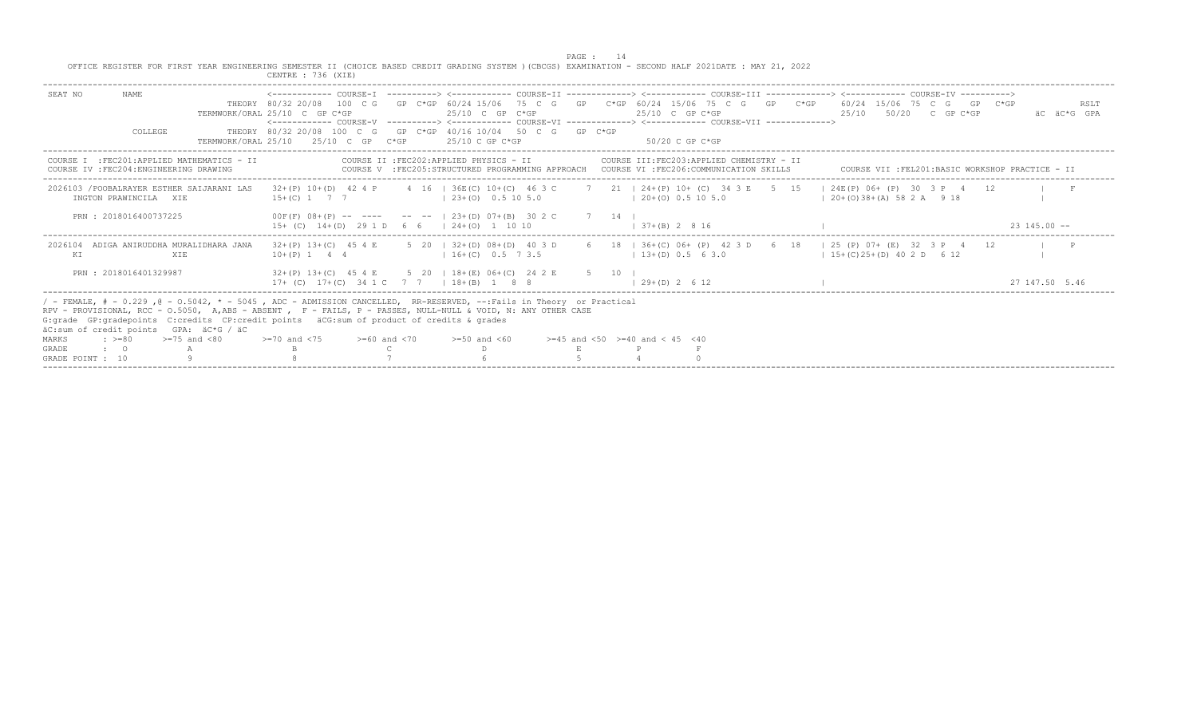PAGE : 14<br>OFFICE REGISTER FOR FIRST YEAR ENGINEERING SEMESTER II (CHOICE BASED CREDIT GRADING SYSTEM )(CBCGS) EXAMINATION - SECOND HALF 2021DATE : MAY 21, 2022

|                                                                                                                                    | CENTRE : 736 (XIE)                                                                                                                                                                                                                                                                                                                                                                                                                       |                     |
|------------------------------------------------------------------------------------------------------------------------------------|------------------------------------------------------------------------------------------------------------------------------------------------------------------------------------------------------------------------------------------------------------------------------------------------------------------------------------------------------------------------------------------------------------------------------------------|---------------------|
| NAME.<br>SEAT NO<br>COLLEGE<br>TERMWORK/ORAL 25/10                                                                                 | THEORY 80/32 20/08 100 C G GP C*GP 60/24 15/06 75 C G GP C*GP 60/24 15/06 75 C G GP C*GP 60/24 15/06 75 C G GP C*GP<br>TERMWORK/ORAL 25/10 C GP C*GP<br>$25/10$ C GP C*GP<br>25/10 50/20 C GP C*GP<br>$25/10$ C GP C*GP<br>THEORY 80/32 20/08 100 C G GP C*GP 40/16 10/04 50 C G GP C*GP<br>$25/10$ C GP $C*GP$<br>$25/10$ C GP C*GP<br>50/20 C GP C*GP                                                                                  | RSLT<br>äC äC*G GPA |
| COURSE I : FEC201: APPLIED MATHEMATICS - II<br>COURSE IV : FEC204: ENGINEERING DRAWING                                             | COURSE II : FEC202: APPLIED PHYSICS - II<br>COURSE III:FEC203:APPLIED CHEMISTRY - II<br>COURSE V : FEC205: STRUCTURED PROGRAMMING APPROACH COURSE VI : FEC206: COMMUNICATION SKILLS<br>COURSE VII : FEL201: BASIC WORKSHOP PRACTICE - II                                                                                                                                                                                                 |                     |
| 2026103 / POOBALRAYER ESTHER SAIJARANI LAS<br>INGTON PRAWINCILA XIE                                                                | 32+(P) 10+(D) 42 4 P 4 16   36E(C) 10+(C) 46 3 C 7 21   24+(P) 10+ (C) 34 3 E 5 15   24E(P) 06+ (P) 30 3 P 4 12<br>$15+(C)$ 1 7 7<br>$(20+ (0) 0.5 10 5.0)$<br>$120+(0)38+(A)582A918$<br>$123+(0)$ 0.5 10 5.0                                                                                                                                                                                                                            |                     |
| PRN: 2018016400737225                                                                                                              | $00F(F)$ $08+(P)$ -- --- -- --   23+(D) 07+(B) 30 2 C 7 14  <br>$15+$ (C) $14+(D)$ 29 1 D 6 6   24+(0) 1 10 10<br>$1 \t37+(B) \t2 \t8 \t16$                                                                                                                                                                                                                                                                                              | $23, 145, 00 -$     |
| 2026104 ADIGA ANIRUDDHA MURALIDHARA JANA<br>ΚI<br><b>XTE</b>                                                                       | $32+(P)$ 13+(C) 45 4 E 5 20   32+(D) 08+(D) 40 3 D<br>6 18   36+ (C) 06+ (P) 42 3 D 6 18   25 (P) 07+ (E) 32 3 P 4 12<br>$(13+(D) 0.5 6 3.0)$<br>$1\,5+(C)\,25+(D)\,40\,2 D\,6\,12$<br>$10+(P)$ 1 4 4 $(16+(C)$ 0.5 7 3.5                                                                                                                                                                                                                |                     |
| PRN: 2018016401329987                                                                                                              | $32+(P)$ 13+(C) 45 4 E 5 20   18+(E) 06+(C) 24 2 E<br>5 10 1<br>$17+$ (C) $17+(C)$ 34 1 C 7 7 1 18 + (B) 1 8 8<br>$(29+(D) 2 6 12)$                                                                                                                                                                                                                                                                                                      | 27 147 50 5 46      |
| äC:sum of credit points GPA: äC*G / äC<br>$>=75$ and $<80$<br>MARKS<br>$: z = 80$<br><b>GRADE</b><br>$\cdot$ 0<br>GRADE POINT : 10 | / - FEMALE, # - 0.229, @ - 0.5042, * - 5045, ADC - ADMISSION CANCELLED, RR-RESERVED, --:Fails in Theory or Practical<br>RPV - PROVISIONAL, RCC - 0.5050, A,ABS - ABSENT , F - FAILS, P - PASSES, NULL-NULL & VOID, N: ANY OTHER CASE<br>G:grade GP:gradepoints C:credits CP:credit points äCG:sum of product of credits & grades<br>$>=70$ and $<75$<br>$>=45$ and $<50$ $>=40$ and $< 45$ $<40$<br>$>=60$ and $<70$<br>$>=50$ and $<60$ |                     |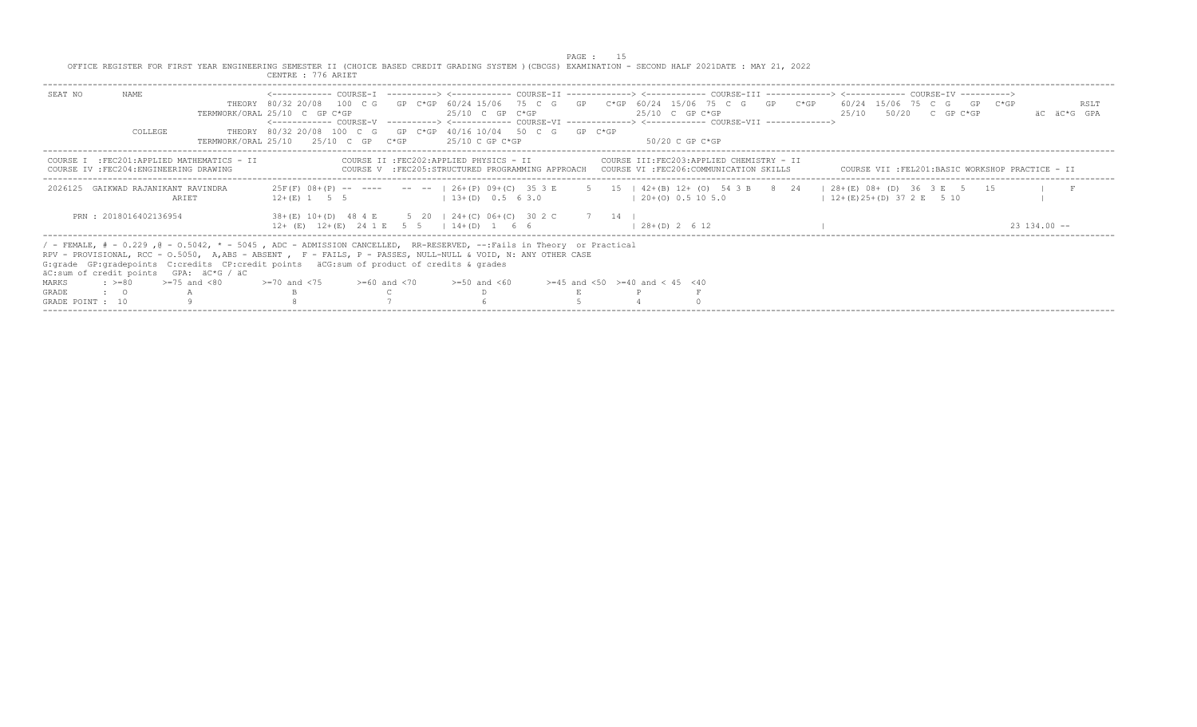PAGE : 15<br>OFFICE REGISTER FOR FIRST YEAR ENGINEERING SEMESTER II (CHOICE BASED CREDIT GRADING SYSTEM )(CBCGS) EXAMINATION - SECOND HALF 2021DATE : MAY 21, 2022<br>CENTRE : 776 ARIET

|                                                                                                                                                                                                                                                                                                                                                                                                                                                                                               |                                  | UBNIRB : 770 ARIB.                                                                                                                                                                                                                                                              |                                                                                                                                                                                |                                          |                                        |  |                                                                                                                                              |                     |
|-----------------------------------------------------------------------------------------------------------------------------------------------------------------------------------------------------------------------------------------------------------------------------------------------------------------------------------------------------------------------------------------------------------------------------------------------------------------------------------------------|----------------------------------|---------------------------------------------------------------------------------------------------------------------------------------------------------------------------------------------------------------------------------------------------------------------------------|--------------------------------------------------------------------------------------------------------------------------------------------------------------------------------|------------------------------------------|----------------------------------------|--|----------------------------------------------------------------------------------------------------------------------------------------------|---------------------|
| NAME.<br>SEAT NO<br>COLLEGE                                                                                                                                                                                                                                                                                                                                                                                                                                                                   |                                  | TERMWORK/ORAL 25/10 C GP C*GP<br><------------ COURSE-V -----------> <------------ COURSE-VI -------------> <------------ COURSE-VII -------------><br>THEORY 80/32 20/08 100 C G GP C*GP 40/16 10/04 50 C G GP C*GP<br>TERMWORK/ORAL 25/10 $25/10$ C GP C*GP $25/10$ C GP C*GP | 25/10 C GP C*GP                                                                                                                                                                |                                          | $25/10$ C GP C*GP<br>- 50/20 C GP C*GP |  | THEORY 80/32 20/08 100 C G GP C*GP 60/24 15/06 75 C G GP C*GP 60/24 15/06 75 C G GP C*GP 60/24 15/06 75 C G GP C*GP<br>25/10 50/20 C GP C*GP | RSLT<br>AC AC*G GPA |
| COURSE<br>COURSE IV : FEC204: ENGINEERING DRAWING                                                                                                                                                                                                                                                                                                                                                                                                                                             | :FEC201:APPLIED MATHEMATICS - II |                                                                                                                                                                                                                                                                                 | COURSE II :FEC202:APPLIED PHYSICS - II COURSE III:FEC203:APPLIED CHEMISTRY - II<br>COURSE V : FEC205: STRUCTURED PROGRAMMING APPROACH COURSE VI : FEC206: COMMUNICATION SKILLS |                                          |                                        |  | COURSE VII :FEL201:BASIC WORKSHOP PRACTICE - II                                                                                              |                     |
| 2026125 GAIKWAD RAJANIKANT RAVINDRA                                                                                                                                                                                                                                                                                                                                                                                                                                                           | ARIET                            | $12+(E)$ 1 5 5                                                                                                                                                                                                                                                                  | $13+(D)$ 0.5 6 3.0                                                                                                                                                             |                                          | $(20+ (0) 0.5 10 5.0)$                 |  | 25F(F) 08+(P) -- ---- -- --   26+(P) 09+(C) 35 3 E 5 15   42+(B) 12+ (O) 54 3 B 8 24   28+(E) 08+ (D) 36 3 E 5 15<br>$(12+(E)25+(D)372E)510$ |                     |
| PRN: 2018016402136954                                                                                                                                                                                                                                                                                                                                                                                                                                                                         |                                  | 38+(E) 10+(D) 48 4 E 5 20   24+(C) 06+(C) 30 2 C 7 14  <br>$12+$ (E) $12+(E)$ 24 1 E 5 5   14+(D) 1 6 6                                                                                                                                                                         |                                                                                                                                                                                |                                          | $1, 28 + (D)$ , 2, 6, 12               |  |                                                                                                                                              | $23, 134, 00 - -$   |
| / - FEMALE, # - 0.229, @ - 0.5042, * - 5045, ADC - ADMISSION CANCELLED, RR-RESERVED, --:Fails in Theory or Practical<br>RPV - PROVISIONAL, RCC - 0.5050, A,ABS - ABSENT , F - FAILS, P - PASSES, NULL-NULL & VOID, N: ANY OTHER CASE<br>G: grade GP: gradepoints C: credits CP: credit points äCG: sum of product of credits & grades<br>äC:sum of credit points GPA: äC*G / äC<br>$\Rightarrow$ $> = 80$ $\Rightarrow$ $= 75$ and $< 80$<br>MARKS<br>$\cdot$ $\cdot$ $\circ$<br><b>GRADE</b> |                                  | $>=70$ and $<75$ $>=60$ and $<70$                                                                                                                                                                                                                                               | $>=50$ and $<60$                                                                                                                                                               | $>=45$ and $<50$ $>=40$ and $< 45$ $<40$ |                                        |  |                                                                                                                                              |                     |
| GRADE POINT : 10                                                                                                                                                                                                                                                                                                                                                                                                                                                                              |                                  |                                                                                                                                                                                                                                                                                 |                                                                                                                                                                                |                                          |                                        |  |                                                                                                                                              |                     |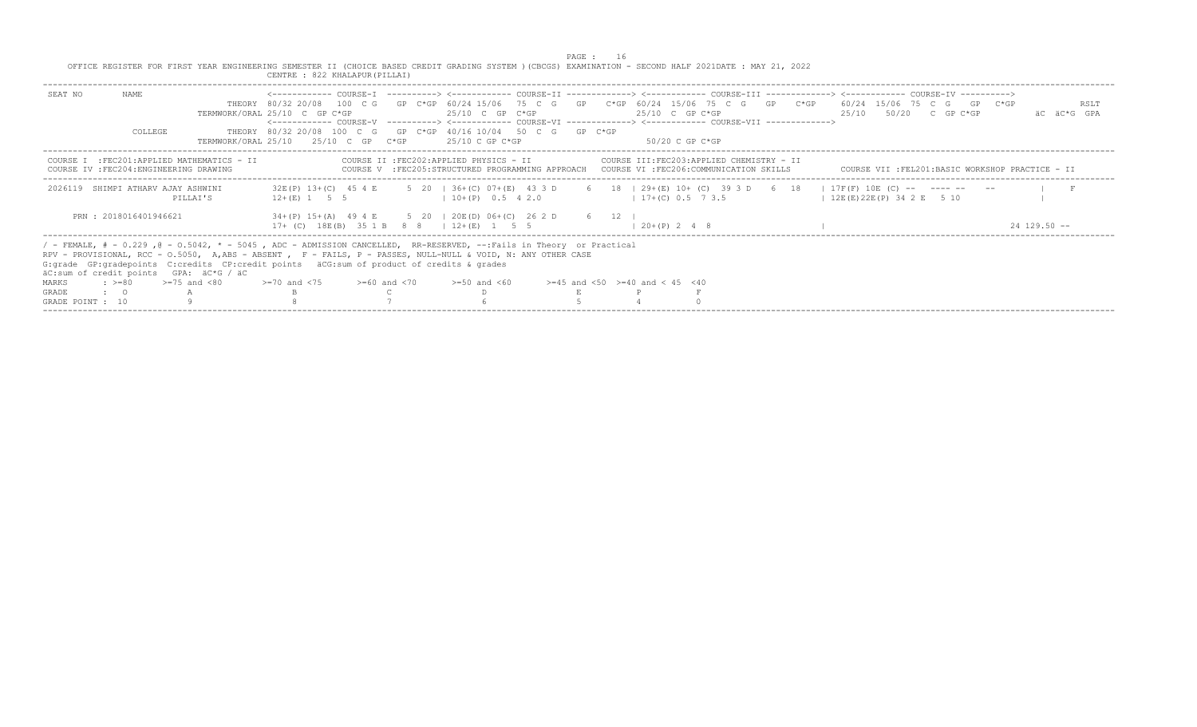|                  |                                         |                                                                                                                                                                                                                                                                                                                                       |                                                                                                            |  |                                                | PAGE :                                                                                                                                                                     |                     |  |                                                                                                                                                  |                     |
|------------------|-----------------------------------------|---------------------------------------------------------------------------------------------------------------------------------------------------------------------------------------------------------------------------------------------------------------------------------------------------------------------------------------|------------------------------------------------------------------------------------------------------------|--|------------------------------------------------|----------------------------------------------------------------------------------------------------------------------------------------------------------------------------|---------------------|--|--------------------------------------------------------------------------------------------------------------------------------------------------|---------------------|
|                  |                                         | OFFICE REGISTER FOR FIRST YEAR ENGINEERING SEMESTER II (CHOICE BASED CREDIT GRADING SYSTEM ) (CBCGS) EXAMINATION - SECOND HALF 2021DATE : MAY 21, 2022                                                                                                                                                                                | CENTRE : 822 KHALAPUR (PILLAI)                                                                             |  |                                                |                                                                                                                                                                            |                     |  |                                                                                                                                                  |                     |
| SEAT NO          | NAME                                    |                                                                                                                                                                                                                                                                                                                                       | TERMWORK/ORAL 25/10 C GP C*GP                                                                              |  | $25/10$ C GP C*GP                              | <------------ COURSE-V ----------> <------------ COURSE-VI -------------> <------------ COURSE-VII ------------->                                                          | $25/10$ C GP C*GP   |  | THEORY 80/32 20/08 100 C G GP C*GP 60/24 15/06 75 C G GP C*GP 60/24 15/06 75 C G GP C*GP 60/24 15/06 75 C G GP C*GP<br>$25/10$ $50/20$ C GP C*GP | RSLT<br>AC AC*G GPA |
|                  | COLLEGE                                 |                                                                                                                                                                                                                                                                                                                                       | THEORY 80/32 20/08 100 C G GP C*GP 40/16 10/04 50 C G GP C*GP<br>$TERMWORK/ORAL$ 25/10 $25/10$ C GP $C*GP$ |  | 25/10 C GP C*GP                                |                                                                                                                                                                            | -50/20 C GP C*GP    |  |                                                                                                                                                  |                     |
|                  | COURSE IV : FEC204: ENGINEERING DRAWING | COURSE I : FEC201: APPLIED MATHEMATICS - II                                                                                                                                                                                                                                                                                           |                                                                                                            |  |                                                | COURSE II :FEC202:APPLIED PHYSICS - II COURSE III:FEC203:APPLIED CHEMISTRY - II<br>COURSE V :FEC205:STRUCTURED PROGRAMMING APPROACH COURSE VI :FEC206:COMMUNICATION SKILLS |                     |  | COURSE VII :FEL201:BASIC WORKSHOP PRACTICE - II                                                                                                  |                     |
|                  | 2026119 SHIMPI ATHARV AJAY ASHWINI      | PILLAI'S                                                                                                                                                                                                                                                                                                                              | $12+(E)$ 1 5 5                                                                                             |  | $10+(P)$ 0.5 4 2.0                             |                                                                                                                                                                            | $17+ (C) 0.5 7 3.5$ |  | 32E(P) 13+(C) 45 4 E 5 20   36+(C) 07+(E) 43 3 D 6 18   29+(E) 10+ (C) 39 3 D 6 18   17F(F) 10E (C) -- ---- -- --<br>$12E(E)22E(P)$ 34 2 E 5 10  |                     |
|                  | PRN : 2018016401946621                  |                                                                                                                                                                                                                                                                                                                                       |                                                                                                            |  | $17+$ (C) $18E(B)$ 35 1 B 8 8   $12+(E)$ 1 5 5 | 34+(P) 15+(A) 49 4 E 5 20   20E(D) 06+(C) 26 2 D 6 12                                                                                                                      | $1, 20+(P)$ 2 4 8   |  |                                                                                                                                                  | $2412950 -$         |
|                  | äC:sum of credit points GPA: äC*G / äC  | / - FEMALE, # - 0.229, @ - 0.5042, * - 5045, ADC - ADMISSION CANCELLED, RR-RESERVED, --:Fails in Theory or Practical<br>RPV - PROVISIONAL, RCC - 0.5050, A, ABS - ABSENT, F - FAILS, P - PASSES, NULL-NULL & VOID, N: ANY OTHER CASE<br>G: qrade GP: qradepoints C: credits CP: credit points äCG: sum of product of credits & qrades |                                                                                                            |  |                                                |                                                                                                                                                                            |                     |  |                                                                                                                                                  |                     |
| MARKS            | $\div$ >=80 >=75 and <80                |                                                                                                                                                                                                                                                                                                                                       | $>=70$ and $<75$ $>=60$ and $<70$ $>=50$ and $<60$                                                         |  |                                                | $>=45$ and $<50$ $>=40$ and $< 45$ $<40$                                                                                                                                   |                     |  |                                                                                                                                                  |                     |
| <b>GRADE</b>     | $\cdot$ $\cdot$ 0                       |                                                                                                                                                                                                                                                                                                                                       |                                                                                                            |  |                                                |                                                                                                                                                                            |                     |  |                                                                                                                                                  |                     |
| GRADE POINT : 10 |                                         |                                                                                                                                                                                                                                                                                                                                       |                                                                                                            |  |                                                |                                                                                                                                                                            |                     |  |                                                                                                                                                  |                     |
|                  |                                         |                                                                                                                                                                                                                                                                                                                                       |                                                                                                            |  |                                                |                                                                                                                                                                            |                     |  |                                                                                                                                                  |                     |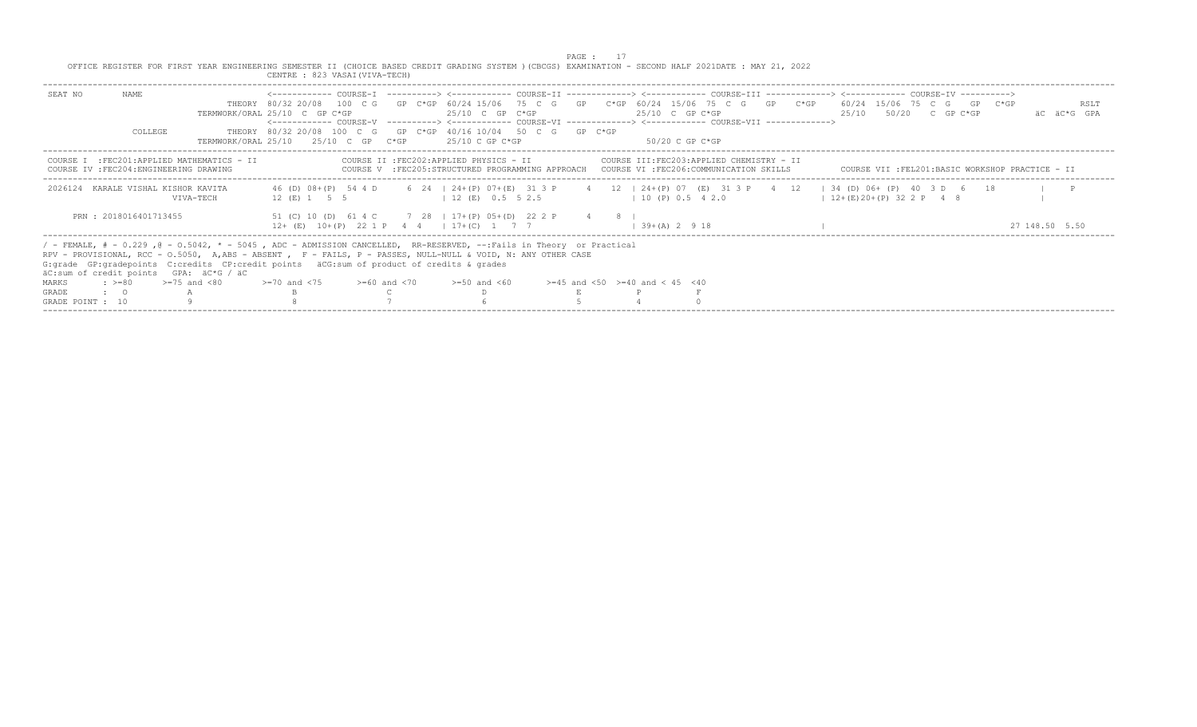|                  |                                                    |                                                                                                                                                                                                                                                                                                                                                                                 |                                                                                                          |  |                                          | PAGE : |                                                                                                                                                                                                                                                                |                           |  |  |                                                 |
|------------------|----------------------------------------------------|---------------------------------------------------------------------------------------------------------------------------------------------------------------------------------------------------------------------------------------------------------------------------------------------------------------------------------------------------------------------------------|----------------------------------------------------------------------------------------------------------|--|------------------------------------------|--------|----------------------------------------------------------------------------------------------------------------------------------------------------------------------------------------------------------------------------------------------------------------|---------------------------|--|--|-------------------------------------------------|
|                  |                                                    | OFFICE REGISTER FOR FIRST YEAR ENGINEERING SEMESTER II (CHOICE BASED CREDIT GRADING SYSTEM ) (CBCGS) EXAMINATION - SECOND HALF 2021DATE : MAY 21, 2022                                                                                                                                                                                                                          | CENTRE : 823 VASAI (VIVA-TECH)                                                                           |  |                                          |        |                                                                                                                                                                                                                                                                |                           |  |  |                                                 |
| SEAT NO          | NAME                                               |                                                                                                                                                                                                                                                                                                                                                                                 | TERMWORK/ORAL 25/10 C GP C*GP                                                                            |  | $25/10$ C GP C*GP                        |        | THEORY 80/32 20/08 100 C G GP C*GP 60/24 15/06 75 C G GP C*GP 60/24 15/06 75 C G GP C*GP 60/24 15/06 75 C G GP C*GP<br>$25/10$ C GP C*GP<br><------------ COURSE-V -----------> <------------ COURSE-VI -------------> <------------ COURSE-VII -------------> | $25/10$ $50/20$ C GP C*GP |  |  | RSLT<br>AC AC*G GPA                             |
|                  | <b>COLLEGE</b>                                     |                                                                                                                                                                                                                                                                                                                                                                                 | THEORY 80/32 20/08 100 C G GP C*GP 40/16 10/04 50 C G GP C*GP<br>TERMWORK/ORAL 25/10 25/10 C GP C*GP     |  | 25/10 C GP C*GP                          |        | -50/20 C GP C*GP                                                                                                                                                                                                                                               |                           |  |  |                                                 |
|                  | COURSE IV : FEC204: ENGINEERING DRAWING            | COURSE I : FEC201: APPLIED MATHEMATICS - II                                                                                                                                                                                                                                                                                                                                     |                                                                                                          |  | COURSE II : FEC202: APPLIED PHYSICS - II |        | COURSE III:FEC203:APPLIED CHEMISTRY - II<br>COURSE V :FEC205:STRUCTURED PROGRAMMING APPROACH COURSE VI :FEC206:COMMUNICATION SKILLS                                                                                                                            |                           |  |  | COURSE VII :FEL201:BASIC WORKSHOP PRACTICE - II |
| 2026124          | KARALE VISHAL KISHOR KAVITA                        | VIVA-TECH                                                                                                                                                                                                                                                                                                                                                                       | 12 (E) 1 5 5 12 (E) 0.5 5 2.5                                                                            |  |                                          |        | 46 (D) 08+ (P) 54 4 D 6 24   24+ (P) 07+ (E) 31 3 P 4 12   24+ (P) 07 (E) 31 3 P 4 12   34 (D) 06+ (P) 40 3 D 6 18<br>1 10 (P) 0.5 4 2.0                                                                                                                       | $12+(E)20+(P)322P48$      |  |  | $\blacksquare$                                  |
|                  | PRN: 2018016401713455                              |                                                                                                                                                                                                                                                                                                                                                                                 | 51 (C) 10 (D) 61 4 C 7 28   17+ (P) 05+ (D) 22 2 P 4 8  <br>$12+$ (E) $10+(P)$ 22 1 P 4 4   17+(C) 1 7 7 |  |                                          |        | $1, 39 + (A), 2, 9, 18$                                                                                                                                                                                                                                        |                           |  |  | 27 148.50 5.50                                  |
|                  |                                                    | / - FEMALE, # - 0.229, @ - 0.5042, * - 5045, ADC - ADMISSION CANCELLED, RR-RESERVED, --:Fails in Theory or Practical<br>RPV - PROVISIONAL, RCC - 0.5050, A,ABS - ABSENT , F - FAILS, P - PASSES, NULL-NULL & VOID, N: ANY OTHER CASE<br>G: grade GP: gradepoints C: credits CP: credit points äCG: sum of product of credits & grades<br>äC:sum of credit points GPA: äC*G / äC |                                                                                                          |  |                                          |        |                                                                                                                                                                                                                                                                |                           |  |  |                                                 |
| MARKS            | $\Rightarrow$ $>=$ 80 $\Rightarrow$ $=$ 75 and <80 |                                                                                                                                                                                                                                                                                                                                                                                 | $>=70$ and $<75$ $>=60$ and $<70$                                                                        |  | $>=50$ and $<60$                         |        | $>= 45$ and $< 50$ $>= 40$ and $< 45$ $< 40$                                                                                                                                                                                                                   |                           |  |  |                                                 |
| <b>GRADE</b>     | $\cdot$ $\cdot$ 0                                  |                                                                                                                                                                                                                                                                                                                                                                                 |                                                                                                          |  |                                          |        |                                                                                                                                                                                                                                                                |                           |  |  |                                                 |
| GRADE POINT : 10 |                                                    |                                                                                                                                                                                                                                                                                                                                                                                 |                                                                                                          |  |                                          |        |                                                                                                                                                                                                                                                                |                           |  |  |                                                 |
|                  |                                                    |                                                                                                                                                                                                                                                                                                                                                                                 |                                                                                                          |  |                                          |        |                                                                                                                                                                                                                                                                |                           |  |  |                                                 |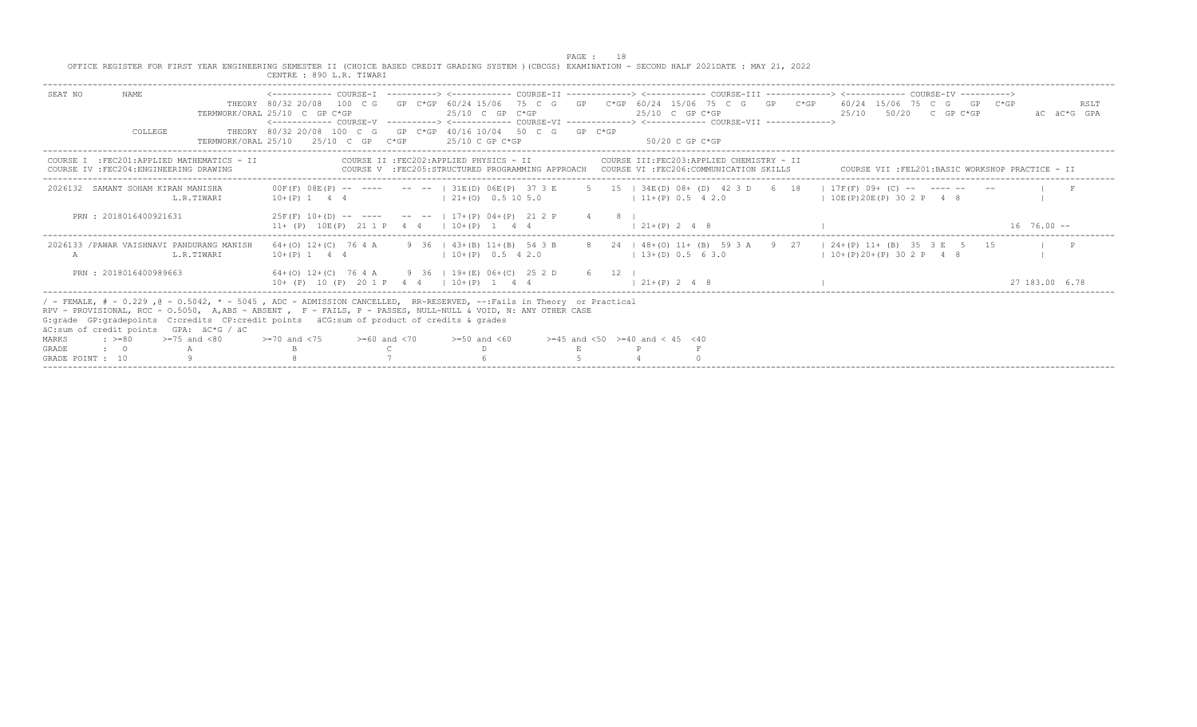|                                                                                                                                                                                                                                                                                                                                                                                                                 | CENTRE : 890 L.R. TIWARI                                  |                                                                                                                        | <b>PAGE : 18</b><br>OFFICE REGISTER FOR FIRST YEAR ENGINEERING SEMESTER II (CHOICE BASED CREDIT GRADING SYSTEM ) (CBCGS) EXAMINATION - SECOND HALF 2021DATE : MAY 21, 2022                                                                                   |                                                  |
|-----------------------------------------------------------------------------------------------------------------------------------------------------------------------------------------------------------------------------------------------------------------------------------------------------------------------------------------------------------------------------------------------------------------|-----------------------------------------------------------|------------------------------------------------------------------------------------------------------------------------|--------------------------------------------------------------------------------------------------------------------------------------------------------------------------------------------------------------------------------------------------------------|--------------------------------------------------|
| NAME.<br>SEAT NO                                                                                                                                                                                                                                                                                                                                                                                                | TERMWORK/ORAL 25/10 C GP C*GP                             | $25/10$ C GP C*GP                                                                                                      | THEORY 80/32 20/08 100 C G GP C*GP 60/24 15/06 75 C G GP C*GP 60/24 15/06 75 C G GP C*GP 60/24 15/06 75 C G GP C*GP<br>25/10 C GP C*GP<br><------------ COURSE-V ----------> <------------ COURSE-VT -------------> <------------- COURSE-VTT -------------> | RSLT<br>$25/10$ $50/20$ C GP C*GP<br>äC äC*G GPA |
| COLLEGE                                                                                                                                                                                                                                                                                                                                                                                                         | TERMWORK/ORAL $25/10$ $25/10$ C GP C*GP $25/10$ C GP C*GP | THEORY 80/32 20/08 100 C G GP C*GP 40/16 10/04 50 C G GP C*GP                                                          | 50/20 C GP C*GP                                                                                                                                                                                                                                              |                                                  |
| COURSE I : FEC201: APPLIED MATHEMATICS - II<br>COURSE IV : FEC204: ENGINEERING DRAWING                                                                                                                                                                                                                                                                                                                          |                                                           | COURSE II : FEC202: APPLIED PHYSICS - II                                                                               | COURSE III: FEC203: APPLIED CHEMISTRY - II<br>COURSE V :FEC205:STRUCTURED PROGRAMMING APPROACH COURSE VI :FEC206:COMMUNICATION SKILLS                                                                                                                        | COURSE VII :FEL201:BASIC WORKSHOP PRACTICE - II  |
| 2026132 SAMANT SOHAM KIRAN MANISHA<br>L.R.TIWARI                                                                                                                                                                                                                                                                                                                                                                | $10+(P)$ 1 4 4 $(21+(O)$ 0.5 10 5.0                       |                                                                                                                        | 00F(F) 08E(P) -- ---- -- --   31E(D) 06E(P) 37 3 E 5 15   34E(D) 08+ (D) 42 3 D 6 18   17F(F) 09+ (C) -- ---- -- --<br>$11+(P)$ 0.5 4 2.0                                                                                                                    | 10E(P)20E(P) 302P 48                             |
| PRN: 2018016400921631                                                                                                                                                                                                                                                                                                                                                                                           |                                                           | $25F(F)$ 10+(D) -- --- -- --   17+(P) 04+(P) 21 2 P 4 8  <br>11+ (P) 10E(P) 21 1 P 4 4   10+ (P) 1 4 4   21+ (P) 2 4 8 |                                                                                                                                                                                                                                                              | $16, 76, 00 -$                                   |
| 2026133 / PAWAR VAISHNAVI PANDURANG MANISH<br>L.R.TIWARI                                                                                                                                                                                                                                                                                                                                                        |                                                           | $10+(P)$ 1 4 4 $(10+(P)$ 0.5 4 2.0                                                                                     | 64+(0) 12+(C) 76 4 A 9 36   43+(B) 11+(B) 54 3 B 8 24   48+(0) 11+ (B) 59 3 A 9 27   24+(P) 11+ (B) 35 3 E 5 15<br>$13+(D)$ 0.5 6 3.0                                                                                                                        | $1 \ 10+ (P) \ 20+ (P) \ 30 \ 2 \ P \ 4 \ 8$     |
| PRN : 2018016400989663                                                                                                                                                                                                                                                                                                                                                                                          | $10+$ (P) 10 (P) 20 1 P 4 4 1 10 + (P) 1 4 4              | 64+(0) 12+(C) 76 4 A 9 36   19+(E) 06+(C) 25 2 D 6 12                                                                  | $1, 21 + (P)$ , 2, 4, 8                                                                                                                                                                                                                                      | 27 183.00 6.78                                   |
| / - FEMALE, # - 0.229, @ - 0.5042, * - 5045, ADC - ADMISSION CANCELLED, RR-RESERVED, --:Fails in Theory or Practical<br>RPV - PROVISIONAL, RCC - 0.5050, A,ABS - ABSENT , F - FAILS, P - PASSES, NULL-NULL & VOID, N: ANY OTHER CASE<br>G:grade GP:gradepoints C:credits CP:credit points äCG:sum of product of credits & grades<br>äC:sum of credit points GPA: äC*G / äC<br>$\div$ >=80 >=75 and <80<br>MARKS | $>=70$ and $<75$ $>=60$ and $<70$ $>=50$ and $<60$        |                                                                                                                        | $>=45$ and $<50$ $>=40$ and $< 45$ $<40$                                                                                                                                                                                                                     |                                                  |
| <b>GRADE</b><br>$\cdot$ 0 A<br>GRADE POINT : 10                                                                                                                                                                                                                                                                                                                                                                 |                                                           |                                                                                                                        |                                                                                                                                                                                                                                                              |                                                  |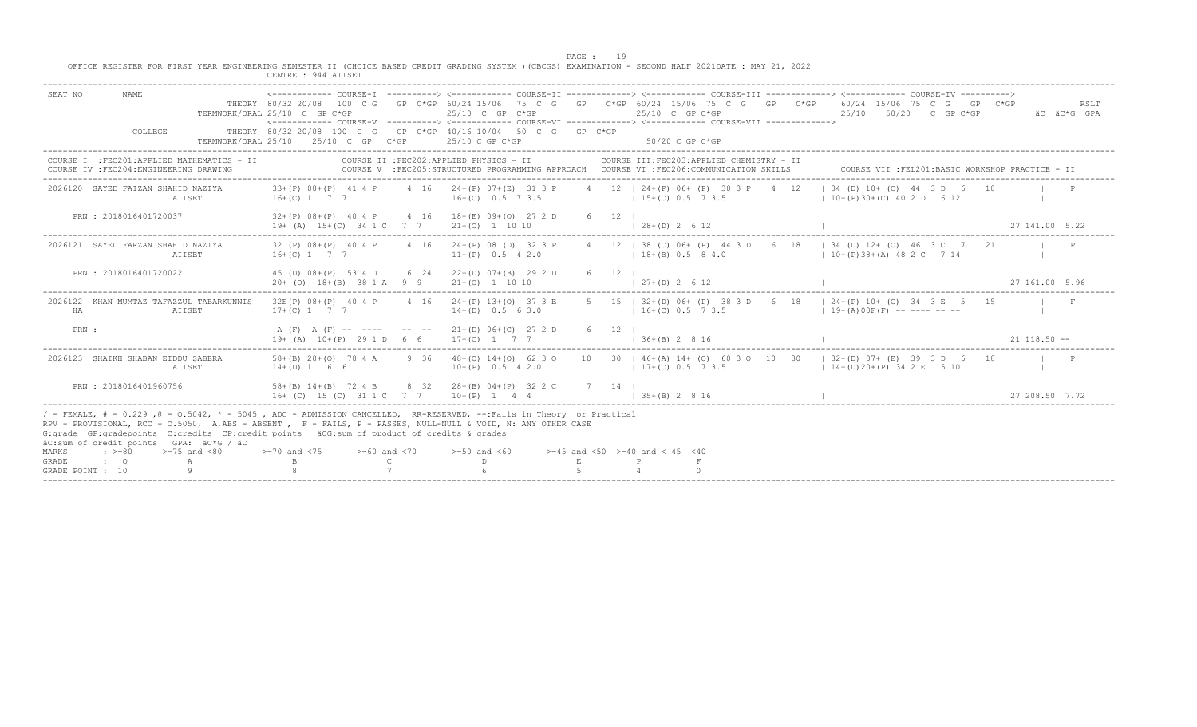PAGE : 19<br>OFFICE REGISTER FOR FIRST YEAR ENGINEERING SEMESTER II (CHOICE BASED CREDIT GRADING SYSTEM )(CBCGS) EXAMINATION - SECOND HALF 2021DATE : MAY 21, 2022

|                                           |                                                                                                                                                                                                                                                                                                                                                                                 |                                                      | CENTRE : 944 AIISET                                                                           |                                                     |                                                       |                                                       |                                          |                |                |                                                                                                                                                                                                                                                                                |  |                                 |                                                   |    |                 |                     |
|-------------------------------------------|---------------------------------------------------------------------------------------------------------------------------------------------------------------------------------------------------------------------------------------------------------------------------------------------------------------------------------------------------------------------------------|------------------------------------------------------|-----------------------------------------------------------------------------------------------|-----------------------------------------------------|-------------------------------------------------------|-------------------------------------------------------|------------------------------------------|----------------|----------------|--------------------------------------------------------------------------------------------------------------------------------------------------------------------------------------------------------------------------------------------------------------------------------|--|---------------------------------|---------------------------------------------------|----|-----------------|---------------------|
| SEAT NO                                   | <b>NAME</b><br>COLLEGE                                                                                                                                                                                                                                                                                                                                                          | TERMWORK/ORAL 25/10 C GP C*GP<br>TERMWORK/ORAL 25/10 | THEORY 80/32 20/08 100 C G GP C*GP 40/16 10/04 50 C G GP C*GP                                 | 25/10 C GP                                          | $C*GP$                                                | 25/10 C GP C*GP<br>25/10 C GP C*GP                    |                                          |                |                | THEORY 80/32 20/08 100 C G GP C*GP 60/24 15/06 75 C G GP C*GP 60/24 15/06 75 C G GP C*GP 60/24 15/06 75 C G GP C*GP<br>25/10 C GP C*GP<br><------------ COURSE-V ----------> <------------ COURSE-VI -------------> <------------ COURSE-VII -------------><br>50/20 C GP C*GP |  | 25/10                           | 50/20 C GP C*GP                                   |    |                 | RSLT<br>äC äC*G GPA |
|                                           | COURSE I : FEC201: APPLIED MATHEMATICS - II<br>COURSE IV : FEC204: ENGINEERING DRAWING                                                                                                                                                                                                                                                                                          |                                                      |                                                                                               |                                                     | COURSE II : FEC202: APPLIED PHYSICS - II              |                                                       |                                          |                |                | COURSE III: FEC203: APPLIED CHEMISTRY - II<br>COURSE V :FEC205:STRUCTURED PROGRAMMING APPROACH COURSE VI :FEC206:COMMUNICATION SKILLS                                                                                                                                          |  |                                 | COURSE VII : FEL201: BASIC WORKSHOP PRACTICE - II |    |                 |                     |
|                                           | 2026120 SAYED FAIZAN SHAHID NAZIYA<br>AIISET                                                                                                                                                                                                                                                                                                                                    |                                                      | $33+(P)$ $08+(P)$ 41 4 P<br>$16+(C)$ 1 7 7                                                    |                                                     |                                                       | 4 16   24 + (P) 07 + (E) 31 3 P<br>$16+(C)$ 0.5 7 3.5 |                                          |                |                | 4 12   24+(P) 06+ (P) 30 3 P 4 12<br>$15+(C)$ 0.5 7 3.5                                                                                                                                                                                                                        |  | $10+(P)30+(C)402D 612$          | $134$ (D) $10+$ (C) $44$ 3 D 6                    |    |                 |                     |
|                                           | PRN : 2018016401720037                                                                                                                                                                                                                                                                                                                                                          |                                                      | $32+(P)$ 08+(P) 40 4 P<br>$19+ (A)$ $15+(C)$ $34 1 C$ 7 7 $1 21+(O)$ 1 10 10                  |                                                     |                                                       | 4 16   18 + (E) 09 + (O) 27 2 D                       |                                          | 6 12 1         | $128+(D) 2612$ |                                                                                                                                                                                                                                                                                |  |                                 |                                                   |    | 27 141.00 5.22  |                     |
|                                           | 2026121 SAYED FARZAN SHAHID NAZIYA<br>AIISET                                                                                                                                                                                                                                                                                                                                    |                                                      | 32 (P) 08+ (P) 40 4 P<br>$16+(C)$ 1 7 7                                                       |                                                     |                                                       | 4 16   24+(P) 08 (D) 32 3 P<br>$11+(P)$ 0.5 4 2.0     |                                          |                |                | 4 12   38 (C) 06+ (P) 44 3 D 6 18   34 (D) 12+ (O) 46 3 C 7 21<br>$18+(B)$ 0.5 8 4.0                                                                                                                                                                                           |  | $10+(P)38+(A)482C714$           |                                                   |    |                 |                     |
|                                           | PRN: 2018016401720022                                                                                                                                                                                                                                                                                                                                                           |                                                      | 45 (D) 08+(P) 53 4 D<br>$20+$ (O) $18+(B)$ 38 1 A 9 9   21+(O) 1 10 10                        |                                                     | 6 24   22 + (D) 07 + (B) 29 2 D                       |                                                       |                                          | $6 \t 12 \t 1$ | $127+(D)2612$  |                                                                                                                                                                                                                                                                                |  |                                 |                                                   |    | 27 161.00 5.96  |                     |
| HA                                        | 2026122 KHAN MUMTAZ TAFAZZUL TABARKUNNIS<br>AIISET                                                                                                                                                                                                                                                                                                                              |                                                      | 32E(P) 08+(P) 40 4 P<br>$17+(C)$ 1 7 7                                                        |                                                     | 4 16   24 + (P) 13 + (O) 37 3 E<br>$14+(D)$ 0.5 6 3.0 |                                                       |                                          |                |                | 5 15   32+(D) 06+ (P) 38 3 D 6 18   24+(P) 10+ (C) 34 3 E 5 15<br>$16+(C)$ 0.5 7 3.5                                                                                                                                                                                           |  | $19+ (A) 00F (F)$ -- ---- -- -- |                                                   |    |                 | $\mathbf{F}$        |
| PRN :                                     |                                                                                                                                                                                                                                                                                                                                                                                 |                                                      | $19+$ (A) $10+(P)$ 29 1 D 6 6   17+(C) 1 7 7                                                  | A (F) A (F) -- ---- -- -- --   21+(D) 06+(C) 27 2 D |                                                       |                                                       |                                          | $6 \t12 \t1$   | $136+(B) 2816$ |                                                                                                                                                                                                                                                                                |  |                                 |                                                   |    | $21$ 118.50 $-$ |                     |
|                                           | 2026123 SHAIKH SHABAN EIDDU SABERA<br>AIISET                                                                                                                                                                                                                                                                                                                                    |                                                      | 58+(B) 20+(O) 78 4 A<br>$14+(D)$ 1 6 6                                                        |                                                     |                                                       | 9 36   48+(0) 14+(0) 62 3 0<br>$10+(P)$ 0.5 4 2.0     |                                          |                |                | 10 30   46+(A) 14+ (O) 60 3 0 10 30   32+(D) 07+ (E) 39 3 D 6<br>$17+(C)$ 0.5 7 3.5                                                                                                                                                                                            |  | $1\ 14+(D)20+(P)342E510$        |                                                   | 18 |                 |                     |
|                                           | PRN : 2018016401960756                                                                                                                                                                                                                                                                                                                                                          |                                                      | 58+(B) 14+(B) 72 4 B 8 32   28+(B) 04+(P) 32 2 C<br>16+ (C) 15 (C) 31 1 C 7 7 1 10+ (P) 1 4 4 |                                                     |                                                       |                                                       |                                          | 7 14 1         | $135+(B)2816$  |                                                                                                                                                                                                                                                                                |  |                                 |                                                   |    | 27 208 50 7 72  |                     |
|                                           | / - FEMALE, # - 0.229, @ - 0.5042, * - 5045, ADC - ADMISSION CANCELLED, RR-RESERVED, --:Fails in Theory or Practical<br>RPV - PROVISIONAL, RCC - 0.5050, A, ABS - ABSENT, F - FAILS, P - PASSES, NULL-NULL & VOID, N: ANY OTHER CASE<br>G: grade GP: gradepoints C: credits CP: credit points äCG: sum of product of credits & grades<br>äC:sum of credit points GPA: äC*G / äC |                                                      |                                                                                               |                                                     |                                                       |                                                       |                                          |                |                |                                                                                                                                                                                                                                                                                |  |                                 |                                                   |    |                 |                     |
| <b>MARKS</b><br>GRADE<br>GRADE POINT : 10 | $\div$ >=80<br>$>=75$ and $< 80$<br>$\cdot$ 0                                                                                                                                                                                                                                                                                                                                   |                                                      | $>=70$ and $<75$<br>B                                                                         | $>=60$ and $< 70$<br>$\mathbb{C}$                   |                                                       | $>= 50$ and $< 60$                                    | $>=45$ and $<50$ $>=40$ and $< 45$ $<40$ |                |                |                                                                                                                                                                                                                                                                                |  |                                 |                                                   |    |                 |                     |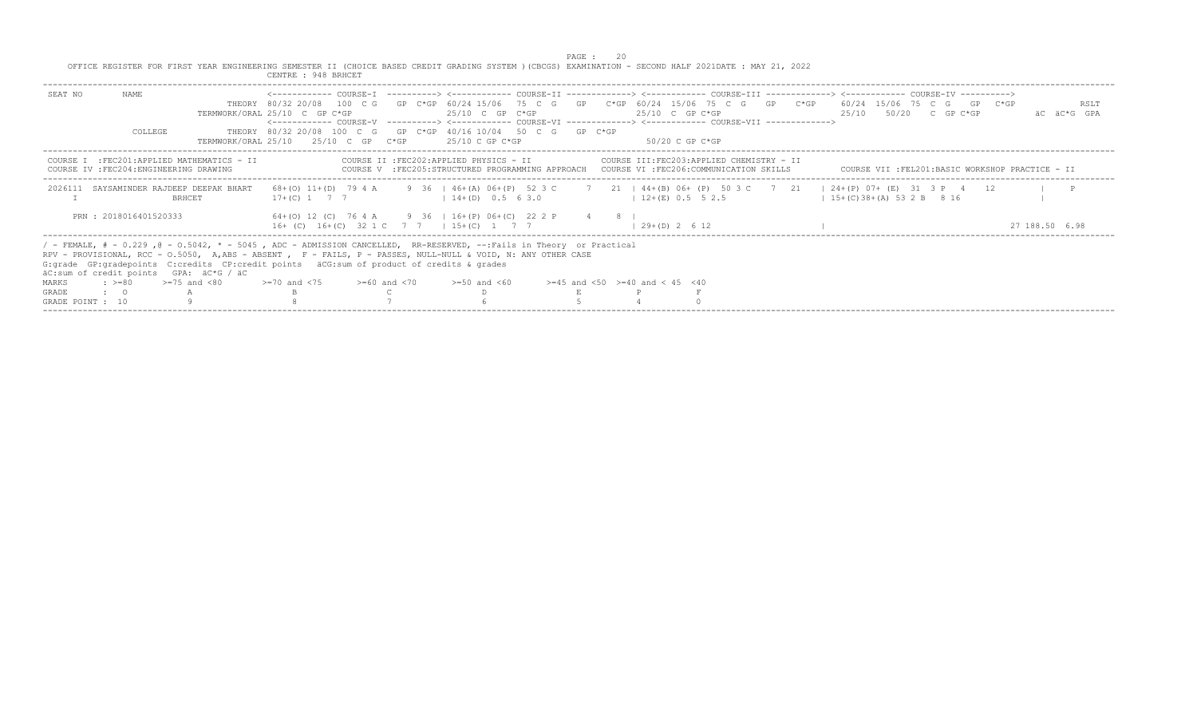PAGE : 20<br>OFFICE REGISTER FOR FIRST YEAR ENGINEERING SEMESTER II (CHOICE BASED CREDIT GRADING SYSTEM )(CBCGS) EXAMINATION - SECOND HALF 2021DATE : MAY 21, 2022<br>CENTRE : 948 BRHCET

|                  |                       |                                                                                                                                                                                                                                                                                                                                                                                 | CENTRE : 948 BRHCET                                                                                  |                   |                                          |  |                                                                                                                                                                                                                                                                                |  |                                                 |  |                   |      |
|------------------|-----------------------|---------------------------------------------------------------------------------------------------------------------------------------------------------------------------------------------------------------------------------------------------------------------------------------------------------------------------------------------------------------------------------|------------------------------------------------------------------------------------------------------|-------------------|------------------------------------------|--|--------------------------------------------------------------------------------------------------------------------------------------------------------------------------------------------------------------------------------------------------------------------------------|--|-------------------------------------------------|--|-------------------|------|
| SEAT NO          | NAMF.<br>COLLEGE      | TERMWORK/ORAI, 25/10                                                                                                                                                                                                                                                                                                                                                            | TERMWORK/ORAL 25/10 C GP C*GP<br>THEORY 80/32 20/08 100 C G GP C*GP 40/16 10/04 50 C G GP C*GP       | $25/10$ C GP C*GP | $25/10$ C GP C*GP<br>$25/10$ C GP C*GP   |  | THEORY 80/32 20/08 100 C G GP C*GP 60/24 15/06 75 C G GP C*GP 60/24 15/06 75 C G GP C*GP 60/24 15/06 75 C G GP C*GP<br>25/10 C GP C*GP<br><------------ COURSE-V ----------> <------------ COURSE-VI -------------> <------------ COURSE-VII -------------><br>50/20 C GP C*GP |  | $25/10$ $50/20$ C GP C*GP                       |  | – äC – äC*G – GPA | RSLT |
|                  |                       | COURSE I : FEC201: APPLIED MATHEMATICS - II<br>COURSE IV : FEC204: ENGINEERING DRAWING                                                                                                                                                                                                                                                                                          |                                                                                                      |                   | COURSE II : FEC202: APPLIED PHYSICS - II |  | COURSE III:FEC203:APPLIED CHEMISTRY - II<br>COURSE V :FEC205:STRUCTURED PROGRAMMING APPROACH COURSE VI :FEC206:COMMUNICATION SKILLS                                                                                                                                            |  | COURSE VII :FEL201:BASIC WORKSHOP PRACTICE - II |  |                   |      |
|                  |                       | 2026111 SAYSAMINDER RAJDEEP DEEPAK BHART<br><b>BRHCET</b>                                                                                                                                                                                                                                                                                                                       | $17+(C)$ 1 7 7                                                                                       |                   | $14+(D)$ 0.5 6 3.0                       |  | 68+(0) 11+(D) 79 4 A 9 36   46+(A) 06+(P) 52 3 C 7 21   44+(B) 06+ (P) 50 3 C 7 21   24+(P) 07+ (E) 31 3 P 4 12<br>$12+(E)$ 0.5 5 2.5                                                                                                                                          |  | $15+(C)38+(A)532B816$                           |  |                   |      |
|                  | PRN: 2018016401520333 |                                                                                                                                                                                                                                                                                                                                                                                 | 64+(0) 12 (C) 76 4 A 9 36   16+(P) 06+(C) 22 2 P 4 8  <br>16+ (C) 16+ (C) 32 1 C 7 7   15+ (C) 1 7 7 |                   |                                          |  | $(29 + (D) 2 6 12)$                                                                                                                                                                                                                                                            |  |                                                 |  | 27 188.50 6.98    |      |
|                  |                       | / - FEMALE, # - 0.229, @ - 0.5042, * - 5045, ADC - ADMISSION CANCELLED, RR-RESERVED, --:Fails in Theory or Practical<br>RPV - PROVISIONAL, RCC - 0.5050, A,ABS - ABSENT , F - FAILS, P - PASSES, NULL-NULL & VOID, N: ANY OTHER CASE<br>G: qrade GP: qradepoints C: credits CP: credit points äCG: sum of product of credits & qrades<br>äC:sum of credit points GPA: äC*G / äC |                                                                                                      |                   |                                          |  |                                                                                                                                                                                                                                                                                |  |                                                 |  |                   |      |
| MARKS            |                       | $\epsilon$ $> = 80$ $> = 75$ and $< 80$                                                                                                                                                                                                                                                                                                                                         | $> = 70$ and $< 75$ $> = 60$ and $< 70$                                                              |                   | $>=50$ and $<60$                         |  | $>=45$ and $<50$ $>=40$ and $< 45$ $<40$                                                                                                                                                                                                                                       |  |                                                 |  |                   |      |
| GRADE            | $\cdot$ $\cdot$ 0     |                                                                                                                                                                                                                                                                                                                                                                                 |                                                                                                      |                   |                                          |  |                                                                                                                                                                                                                                                                                |  |                                                 |  |                   |      |
| GRADE POINT : 10 |                       |                                                                                                                                                                                                                                                                                                                                                                                 |                                                                                                      |                   |                                          |  |                                                                                                                                                                                                                                                                                |  |                                                 |  |                   |      |